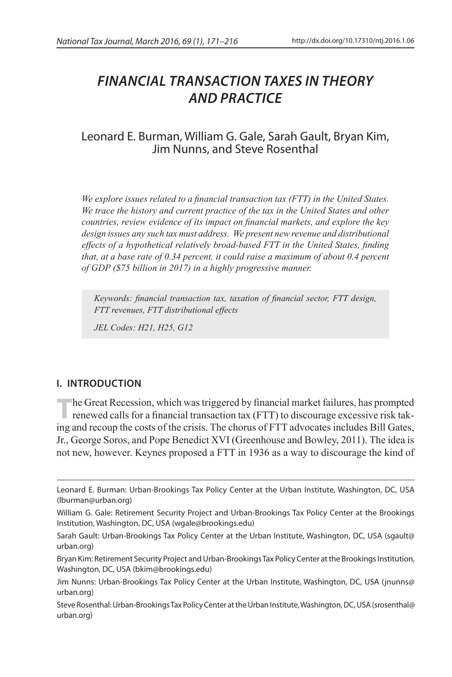# *Financial Transaction Taxes in Theory and Practice*

## Leonard E. Burman, William G. Gale, Sarah Gault, Bryan Kim, Jim Nunns, and Steve Rosenthal

*We explore issues related to a financial transaction tax (FTT) in the United States. We trace the history and current practice of the tax in the United States and other countries, review evidence of its impact on financial markets, and explore the key design issues any such tax must address. We present new revenue and distributional effects of a hypothetical relatively broad-based FTT in the United States, finding that, at a base rate of 0.34 percent, it could raise a maximum of about 0.4 percent of GDP (\$75 billion in 2017) in a highly progressive manner.*

*Keywords: financial transaction tax, taxation of financial sector, FTT design, FTT revenues, FTT distributional effects* 

*JEL Codes: H21, H25, G12*

## **I. INTRODUCTION**

The Great Recession, which was triggered by financial market failures, has prompted renewed calls for a financial transaction tax (FTT) to discourage excessive risk taking and recoup the costs of the crisis. The chorus of FTT advocates includes Bill Gates, Jr., George Soros, and Pope Benedict XVI (Greenhouse and Bowley, 2011). The idea is not new, however. Keynes proposed a FTT in 1936 as a way to discourage the kind of

Leonard E. Burman: Urban-Brookings Tax Policy Center at the Urban Institute, Washington, DC, USA (lburman@urban.org)

William G. Gale: Retirement Security Project and Urban-Brookings Tax Policy Center at the Brookings Institution, Washington, DC, USA (wgale@brookings.edu)

Sarah Gault: Urban-Brookings Tax Policy Center at the Urban Institute, Washington, DC, USA (sgault@ urban.org)

Bryan Kim: Retirement Security Project and Urban-Brookings Tax Policy Center at the Brookings Institution, Washington, DC, USA (bkim@brookings.edu)

Jim Nunns: Urban-Brookings Tax Policy Center at the Urban Institute, Washington, DC, USA (jnunns@ urban.org)

Steve Rosenthal: Urban-Brookings Tax Policy Center at the Urban Institute, Washington, DC, USA (srosenthal@ urban.org)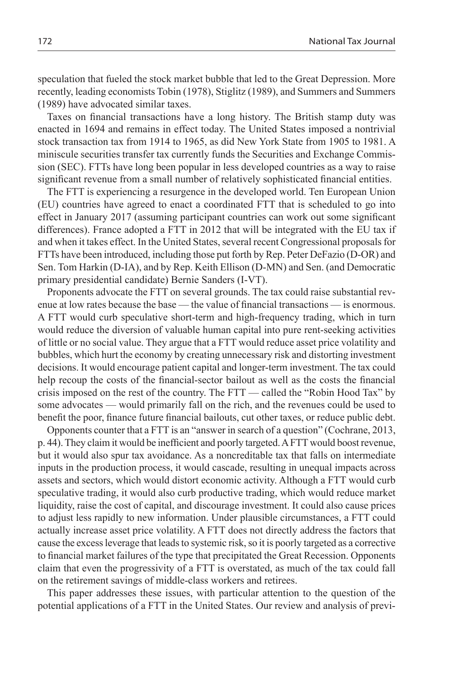speculation that fueled the stock market bubble that led to the Great Depression. More recently, leading economists Tobin (1978), Stiglitz (1989), and Summers and Summers (1989) have advocated similar taxes.

Taxes on financial transactions have a long history. The British stamp duty was enacted in 1694 and remains in effect today. The United States imposed a nontrivial stock transaction tax from 1914 to 1965, as did New York State from 1905 to 1981. A miniscule securities transfer tax currently funds the Securities and Exchange Commission (SEC). FTTs have long been popular in less developed countries as a way to raise significant revenue from a small number of relatively sophisticated financial entities.

The FTT is experiencing a resurgence in the developed world. Ten European Union (EU) countries have agreed to enact a coordinated FTT that is scheduled to go into effect in January 2017 (assuming participant countries can work out some significant differences). France adopted a FTT in 2012 that will be integrated with the EU tax if and when it takes effect. In the United States, several recent Congressional proposals for FTTs have been introduced, including those put forth by Rep. Peter DeFazio (D-OR) and Sen. Tom Harkin (D-IA), and by Rep. Keith Ellison (D-MN) and Sen. (and Democratic primary presidential candidate) Bernie Sanders (I-VT).

Proponents advocate the FTT on several grounds. The tax could raise substantial revenue at low rates because the base — the value of financial transactions — is enormous. A FTT would curb speculative short-term and high-frequency trading, which in turn would reduce the diversion of valuable human capital into pure rent-seeking activities of little or no social value. They argue that a FTT would reduce asset price volatility and bubbles, which hurt the economy by creating unnecessary risk and distorting investment decisions. It would encourage patient capital and longer-term investment. The tax could help recoup the costs of the financial-sector bailout as well as the costs the financial crisis imposed on the rest of the country. The FTT — called the "Robin Hood Tax" by some advocates — would primarily fall on the rich, and the revenues could be used to benefit the poor, finance future financial bailouts, cut other taxes, or reduce public debt.

Opponents counter that a FTT is an "answer in search of a question" (Cochrane, 2013, p. 44). They claim it would be inefficient and poorly targeted. A FTT would boost revenue, but it would also spur tax avoidance. As a noncreditable tax that falls on intermediate inputs in the production process, it would cascade, resulting in unequal impacts across assets and sectors, which would distort economic activity. Although a FTT would curb speculative trading, it would also curb productive trading, which would reduce market liquidity, raise the cost of capital, and discourage investment. It could also cause prices to adjust less rapidly to new information. Under plausible circumstances, a FTT could actually increase asset price volatility. A FTT does not directly address the factors that cause the excess leverage that leads to systemic risk, so it is poorly targeted as a corrective to financial market failures of the type that precipitated the Great Recession. Opponents claim that even the progressivity of a FTT is overstated, as much of the tax could fall on the retirement savings of middle-class workers and retirees.

This paper addresses these issues, with particular attention to the question of the potential applications of a FTT in the United States. Our review and analysis of previ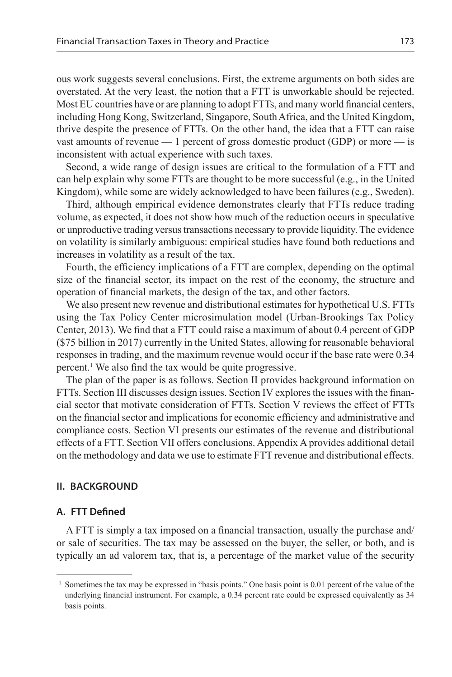ous work suggests several conclusions. First, the extreme arguments on both sides are overstated. At the very least, the notion that a FTT is unworkable should be rejected. Most EU countries have or are planning to adopt FTTs, and many world financial centers, including Hong Kong, Switzerland, Singapore, South Africa, and the United Kingdom, thrive despite the presence of FTTs. On the other hand, the idea that a FTT can raise vast amounts of revenue  $-1$  percent of gross domestic product (GDP) or more  $-$  is inconsistent with actual experience with such taxes.

Second, a wide range of design issues are critical to the formulation of a FTT and can help explain why some FTTs are thought to be more successful (e.g., in the United Kingdom), while some are widely acknowledged to have been failures (e.g., Sweden).

Third, although empirical evidence demonstrates clearly that FTTs reduce trading volume, as expected, it does not show how much of the reduction occurs in speculative or unproductive trading versus transactions necessary to provide liquidity. The evidence on volatility is similarly ambiguous: empirical studies have found both reductions and increases in volatility as a result of the tax.

Fourth, the efficiency implications of a FTT are complex, depending on the optimal size of the financial sector, its impact on the rest of the economy, the structure and operation of financial markets, the design of the tax, and other factors.

We also present new revenue and distributional estimates for hypothetical U.S. FTTs using the Tax Policy Center microsimulation model (Urban-Brookings Tax Policy Center, 2013). We find that a FTT could raise a maximum of about 0.4 percent of GDP (\$75 billion in 2017) currently in the United States, allowing for reasonable behavioral responses in trading, and the maximum revenue would occur if the base rate were 0.34 percent.1 We also find the tax would be quite progressive.

The plan of the paper is as follows. Section II provides background information on FTTs. Section III discusses design issues. Section IV explores the issues with the financial sector that motivate consideration of FTTs. Section V reviews the effect of FTTs on the financial sector and implications for economic efficiency and administrative and compliance costs. Section VI presents our estimates of the revenue and distributional effects of a FTT. Section VII offers conclusions. Appendix A provides additional detail on the methodology and data we use to estimate FTT revenue and distributional effects.

## **II. BACKGROUND**

## **A. FTT Defined**

A FTT is simply a tax imposed on a financial transaction, usually the purchase and/ or sale of securities. The tax may be assessed on the buyer, the seller, or both, and is typically an ad valorem tax, that is, a percentage of the market value of the security

<sup>1</sup> Sometimes the tax may be expressed in "basis points." One basis point is 0.01 percent of the value of the underlying financial instrument. For example, a 0.34 percent rate could be expressed equivalently as 34 basis points.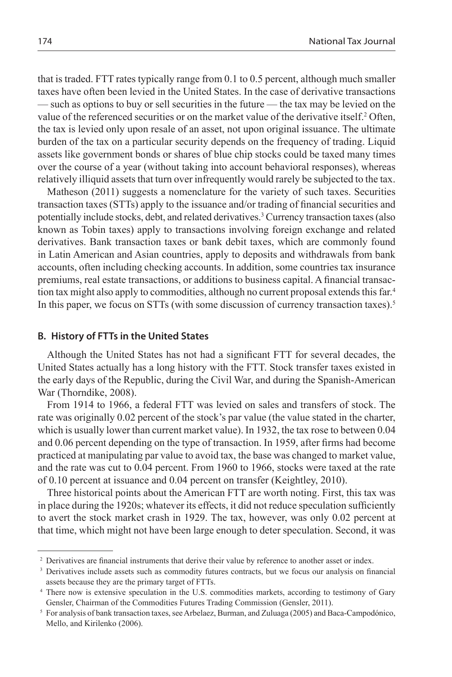that is traded. FTT rates typically range from 0.1 to 0.5 percent, although much smaller taxes have often been levied in the United States. In the case of derivative transactions — such as options to buy or sell securities in the future — the tax may be levied on the value of the referenced securities or on the market value of the derivative itself.<sup>2</sup> Often, the tax is levied only upon resale of an asset, not upon original issuance. The ultimate burden of the tax on a particular security depends on the frequency of trading. Liquid assets like government bonds or shares of blue chip stocks could be taxed many times over the course of a year (without taking into account behavioral responses), whereas relatively illiquid assets that turn over infrequently would rarely be subjected to the tax.

Matheson (2011) suggests a nomenclature for the variety of such taxes. Securities transaction taxes (STTs) apply to the issuance and/or trading of financial securities and potentially include stocks, debt, and related derivatives.3 Currency transaction taxes (also known as Tobin taxes) apply to transactions involving foreign exchange and related derivatives. Bank transaction taxes or bank debit taxes, which are commonly found in Latin American and Asian countries, apply to deposits and withdrawals from bank accounts, often including checking accounts. In addition, some countries tax insurance premiums, real estate transactions, or additions to business capital. A financial transaction tax might also apply to commodities, although no current proposal extends this far.4 In this paper, we focus on STTs (with some discussion of currency transaction taxes).<sup>5</sup>

#### **B. History of FTTs in the United States**

Although the United States has not had a significant FTT for several decades, the United States actually has a long history with the FTT. Stock transfer taxes existed in the early days of the Republic, during the Civil War, and during the Spanish-American War (Thorndike, 2008).

From 1914 to 1966, a federal FTT was levied on sales and transfers of stock. The rate was originally 0.02 percent of the stock's par value (the value stated in the charter, which is usually lower than current market value). In 1932, the tax rose to between 0.04 and 0.06 percent depending on the type of transaction. In 1959, after firms had become practiced at manipulating par value to avoid tax, the base was changed to market value, and the rate was cut to 0.04 percent. From 1960 to 1966, stocks were taxed at the rate of 0.10 percent at issuance and 0.04 percent on transfer (Keightley, 2010).

Three historical points about the American FTT are worth noting. First, this tax was in place during the 1920s; whatever its effects, it did not reduce speculation sufficiently to avert the stock market crash in 1929. The tax, however, was only 0.02 percent at that time, which might not have been large enough to deter speculation. Second, it was

<sup>2</sup> Derivatives are financial instruments that derive their value by reference to another asset or index.

<sup>3</sup> Derivatives include assets such as commodity futures contracts, but we focus our analysis on financial assets because they are the primary target of FTTs.

<sup>4</sup> There now is extensive speculation in the U.S. commodities markets, according to testimony of Gary Gensler, Chairman of the Commodities Futures Trading Commission (Gensler, 2011).

<sup>5</sup> For analysis of bank transaction taxes, see Arbelaez, Burman, and Zuluaga (2005) and Baca-Campodónico, Mello, and Kirilenko (2006).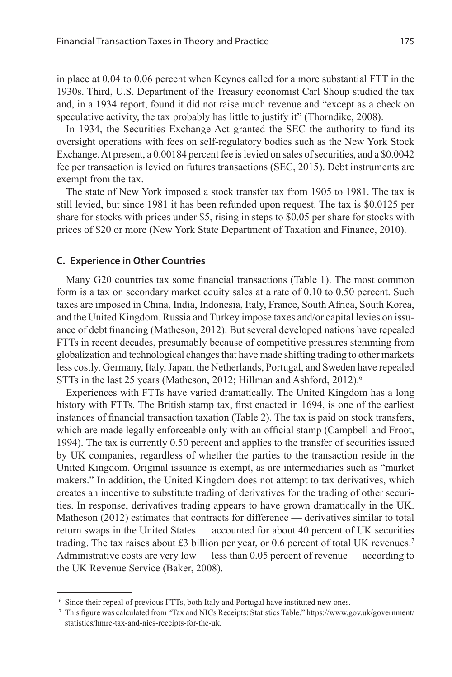in place at 0.04 to 0.06 percent when Keynes called for a more substantial FTT in the 1930s. Third, U.S. Department of the Treasury economist Carl Shoup studied the tax and, in a 1934 report, found it did not raise much revenue and "except as a check on speculative activity, the tax probably has little to justify it" (Thorndike, 2008).

In 1934, the Securities Exchange Act granted the SEC the authority to fund its oversight operations with fees on self-regulatory bodies such as the New York Stock Exchange. At present, a 0.00184 percent fee is levied on sales of securities, and a \$0.0042 fee per transaction is levied on futures transactions (SEC, 2015). Debt instruments are exempt from the tax.

The state of New York imposed a stock transfer tax from 1905 to 1981. The tax is still levied, but since 1981 it has been refunded upon request. The tax is \$0.0125 per share for stocks with prices under \$5, rising in steps to \$0.05 per share for stocks with prices of \$20 or more (New York State Department of Taxation and Finance, 2010).

#### **C. Experience in Other Countries**

Many G20 countries tax some financial transactions (Table 1). The most common form is a tax on secondary market equity sales at a rate of 0.10 to 0.50 percent. Such taxes are imposed in China, India, Indonesia, Italy, France, South Africa, South Korea, and the United Kingdom. Russia and Turkey impose taxes and/or capital levies on issuance of debt financing (Matheson, 2012). But several developed nations have repealed FTTs in recent decades, presumably because of competitive pressures stemming from globalization and technological changes that have made shifting trading to other markets less costly. Germany, Italy, Japan, the Netherlands, Portugal, and Sweden have repealed STTs in the last 25 years (Matheson, 2012; Hillman and Ashford, 2012).<sup>6</sup>

Experiences with FTTs have varied dramatically. The United Kingdom has a long history with FTTs. The British stamp tax, first enacted in 1694, is one of the earliest instances of financial transaction taxation (Table 2). The tax is paid on stock transfers, which are made legally enforceable only with an official stamp (Campbell and Froot, 1994). The tax is currently 0.50 percent and applies to the transfer of securities issued by UK companies, regardless of whether the parties to the transaction reside in the United Kingdom. Original issuance is exempt, as are intermediaries such as "market makers." In addition, the United Kingdom does not attempt to tax derivatives, which creates an incentive to substitute trading of derivatives for the trading of other securities. In response, derivatives trading appears to have grown dramatically in the UK. Matheson (2012) estimates that contracts for difference — derivatives similar to total return swaps in the United States — accounted for about 40 percent of UK securities trading. The tax raises about £3 billion per year, or 0.6 percent of total UK revenues.7 Administrative costs are very low — less than 0.05 percent of revenue — according to the UK Revenue Service (Baker, 2008).

<sup>6</sup> Since their repeal of previous FTTs, both Italy and Portugal have instituted new ones.

<sup>7</sup> This figure was calculated from "Tax and NICs Receipts: Statistics Table." https://www.gov.uk/government/ statistics/hmrc-tax-and-nics-receipts-for-the-uk.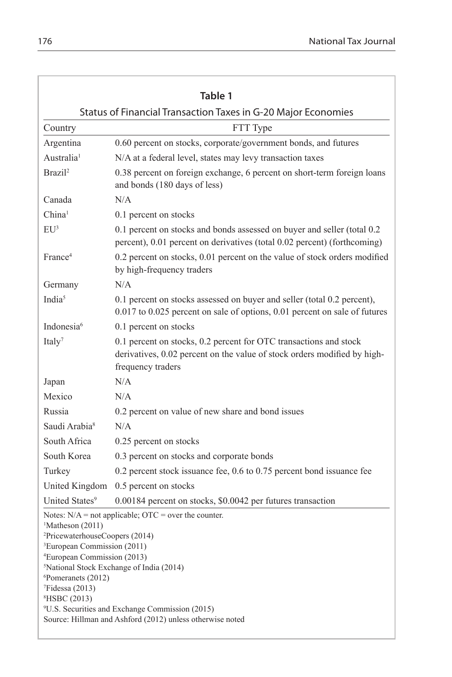|                                                                                                                                                                                                                                                      | Table 1                                                                                                                                                                                                                                      |
|------------------------------------------------------------------------------------------------------------------------------------------------------------------------------------------------------------------------------------------------------|----------------------------------------------------------------------------------------------------------------------------------------------------------------------------------------------------------------------------------------------|
|                                                                                                                                                                                                                                                      | Status of Financial Transaction Taxes in G-20 Major Economies                                                                                                                                                                                |
| Country                                                                                                                                                                                                                                              | FTT Type                                                                                                                                                                                                                                     |
| Argentina                                                                                                                                                                                                                                            | 0.60 percent on stocks, corporate/government bonds, and futures                                                                                                                                                                              |
| Australia <sup>1</sup>                                                                                                                                                                                                                               | N/A at a federal level, states may levy transaction taxes                                                                                                                                                                                    |
| Brazil <sup>2</sup>                                                                                                                                                                                                                                  | 0.38 percent on foreign exchange, 6 percent on short-term foreign loans<br>and bonds (180 days of less)                                                                                                                                      |
| Canada                                                                                                                                                                                                                                               | N/A                                                                                                                                                                                                                                          |
| China <sup>1</sup>                                                                                                                                                                                                                                   | 0.1 percent on stocks                                                                                                                                                                                                                        |
| $EU^3$                                                                                                                                                                                                                                               | 0.1 percent on stocks and bonds assessed on buyer and seller (total 0.2)<br>percent), 0.01 percent on derivatives (total 0.02 percent) (forthcoming)                                                                                         |
| France <sup>4</sup>                                                                                                                                                                                                                                  | 0.2 percent on stocks, 0.01 percent on the value of stock orders modified<br>by high-frequency traders                                                                                                                                       |
| Germany                                                                                                                                                                                                                                              | N/A                                                                                                                                                                                                                                          |
| India <sup>5</sup>                                                                                                                                                                                                                                   | 0.1 percent on stocks assessed on buyer and seller (total 0.2 percent),<br>0.017 to 0.025 percent on sale of options, 0.01 percent on sale of futures                                                                                        |
| Indonesia <sup>6</sup>                                                                                                                                                                                                                               | 0.1 percent on stocks                                                                                                                                                                                                                        |
| Italy <sup>7</sup>                                                                                                                                                                                                                                   | 0.1 percent on stocks, 0.2 percent for OTC transactions and stock<br>derivatives, 0.02 percent on the value of stock orders modified by high-<br>frequency traders                                                                           |
| Japan                                                                                                                                                                                                                                                | N/A                                                                                                                                                                                                                                          |
| Mexico                                                                                                                                                                                                                                               | N/A                                                                                                                                                                                                                                          |
| Russia                                                                                                                                                                                                                                               | 0.2 percent on value of new share and bond issues                                                                                                                                                                                            |
| Saudi Arabia <sup>8</sup>                                                                                                                                                                                                                            | N/A                                                                                                                                                                                                                                          |
| South Africa                                                                                                                                                                                                                                         | 0.25 percent on stocks                                                                                                                                                                                                                       |
| South Korea                                                                                                                                                                                                                                          | 0.3 percent on stocks and corporate bonds                                                                                                                                                                                                    |
| Turkey                                                                                                                                                                                                                                               | $0.2$ percent stock issuance fee, $0.6$ to $0.75$ percent bond issuance fee                                                                                                                                                                  |
| United Kingdom                                                                                                                                                                                                                                       | 0.5 percent on stocks                                                                                                                                                                                                                        |
| United States <sup>9</sup>                                                                                                                                                                                                                           | 0.00184 percent on stocks, \$0.0042 per futures transaction                                                                                                                                                                                  |
| <sup>1</sup> Matheson (2011)<br><sup>2</sup> PricewaterhouseCoopers (2014)<br><sup>3</sup> European Commission (2011)<br><sup>4</sup> European Commission (2013)<br><sup>6</sup> Pomeranets (2012)<br>$7$ Fidessa (2013)<br><sup>8</sup> HSBC (2013) | Notes: $N/A$ = not applicable; $OTC$ = over the counter.<br><sup>5</sup> National Stock Exchange of India (2014)<br><sup>9</sup> U.S. Securities and Exchange Commission (2015)<br>Source: Hillman and Ashford (2012) unless otherwise noted |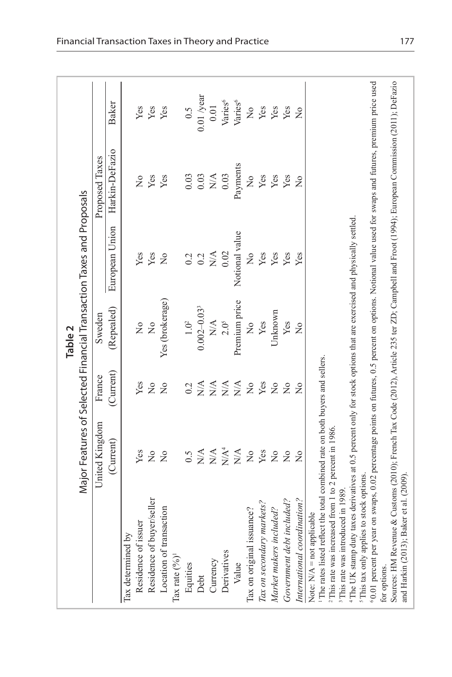|                                                                                                                                                          |                                                                                   |                  | Table <sub>2</sub>           |                                      |                              |                                                                        |
|----------------------------------------------------------------------------------------------------------------------------------------------------------|-----------------------------------------------------------------------------------|------------------|------------------------------|--------------------------------------|------------------------------|------------------------------------------------------------------------|
|                                                                                                                                                          | Major Features of Selected Financial Transaction Taxes and Proposals              |                  |                              |                                      |                              |                                                                        |
|                                                                                                                                                          | United Kingdom                                                                    | France           | Sweden                       |                                      | Proposed Taxes               |                                                                        |
|                                                                                                                                                          | (Current)                                                                         | (Current)        | (Repealed)                   | European Union                       | Harkin-DeFazio               | <b>Baker</b>                                                           |
| lax determined by                                                                                                                                        |                                                                                   |                  |                              |                                      |                              |                                                                        |
| Residence of issuer                                                                                                                                      | Yes                                                                               | Yes              | $\overline{R}$               | Yes                                  | $\frac{1}{2}$                | Yes                                                                    |
| Residence of buyer/seller                                                                                                                                | $\frac{1}{2}$                                                                     | $\frac{1}{2}$    | $\overline{M}$               | Yes                                  | Yes                          | Yes                                                                    |
| Location of transaction                                                                                                                                  | $\overline{a}$                                                                    | $\frac{1}{2}$    | Yes (brokerage)              | $\frac{1}{2}$                        | Yes                          | Yes                                                                    |
| Tax rate $(%)$                                                                                                                                           |                                                                                   |                  |                              |                                      |                              |                                                                        |
| Equities                                                                                                                                                 | 6.5                                                                               | 0.2              | $1.0^2$                      | 0.2                                  | 0.03                         | 0.5                                                                    |
| Debt                                                                                                                                                     | $\stackrel{\triangle}{\geq}$                                                      | N/A              | $0.002 - 0.033$              | 0.2                                  | 0.03                         | $0.01$ /year                                                           |
| Currency                                                                                                                                                 |                                                                                   | $\sum_{i=1}^{n}$ | $\stackrel{\triangle}{\geq}$ | $\stackrel{\blacktriangle}{\approx}$ | $\stackrel{\triangle}{\geq}$ | 0.01                                                                   |
| Derivatives                                                                                                                                              | $\begin{array}{c} \mathbf{X} \mathbf{A}^4 \\ \mathbf{X} \mathbf{A}^4 \end{array}$ | N/A              | 2.0 <sup>5</sup>             | 0.02                                 | 0.03                         | Varies <sup>6</sup>                                                    |
| Value                                                                                                                                                    | $\mathop{\rm N}\nolimits\!\mathop{\rm A}\nolimits$                                | $\sum_{i=1}^{n}$ | Premium price                | Notional value                       | Payments                     | Varies <sup>6</sup>                                                    |
| Tax on original issuance?                                                                                                                                | $\stackrel{\circ}{\simeq}$                                                        | $\frac{1}{2}$    | $\frac{1}{2}$                | $\frac{1}{2}$                        | $\frac{1}{2}$                | $\rm \stackrel{\circ}{\rm \stackrel{\circ}{\rm \scriptscriptstyle M}}$ |
| Tax on secondary markets?                                                                                                                                | Yes                                                                               | Yes              | Yes                          | Yes                                  | Yes                          | Yes                                                                    |
| Market makers included?                                                                                                                                  | $\tilde{z}$                                                                       | $\frac{1}{2}$    | Unknown                      | Yes                                  | Yes                          | Yes                                                                    |
| Government debt included?                                                                                                                                | $\overline{a}$                                                                    | $\frac{1}{2}$    | Yes                          | Yes                                  | Yes                          | Yes                                                                    |
| International coordination?                                                                                                                              | $\overline{R}$                                                                    | $\frac{1}{2}$    | $\frac{1}{2}$                | Yes                                  | $\overline{a}$               | $\overline{a}$                                                         |
| Note: $N/A$ = not applicable                                                                                                                             |                                                                                   |                  |                              |                                      |                              |                                                                        |
| The rates listed reflect the total combined rate on both buyers and sellers.                                                                             |                                                                                   |                  |                              |                                      |                              |                                                                        |
| <sup>2</sup> This rate was increased from 1 to 2 percent in 1986                                                                                         |                                                                                   |                  |                              |                                      |                              |                                                                        |
| <sup>3</sup> This rate was introduced in 1989.                                                                                                           |                                                                                   |                  |                              |                                      |                              |                                                                        |
| <sup>4</sup> The UK stamp duty taxes derivatives at 0.5 percent only for stock options that are exercised and physically settled.                        |                                                                                   |                  |                              |                                      |                              |                                                                        |
| This tax only applies to stock options.                                                                                                                  |                                                                                   |                  |                              |                                      |                              |                                                                        |
| 0.01 percent per year on swaps, 0.02 percentage points on futures, 0.5 percent on options. Notional value used for swaps and futures, premium price used |                                                                                   |                  |                              |                                      |                              |                                                                        |
| for options.                                                                                                                                             |                                                                                   |                  |                              |                                      |                              |                                                                        |
| Sources: HM Revenue & Customs (2010); French Tax Code (2012), Article 235 ter ZD; Campbell and Froot (1994); Buropean Commission (2011); DeFazio         |                                                                                   |                  |                              |                                      |                              |                                                                        |
| and Harkin (2013); Baker et al. (2009)                                                                                                                   |                                                                                   |                  |                              |                                      |                              |                                                                        |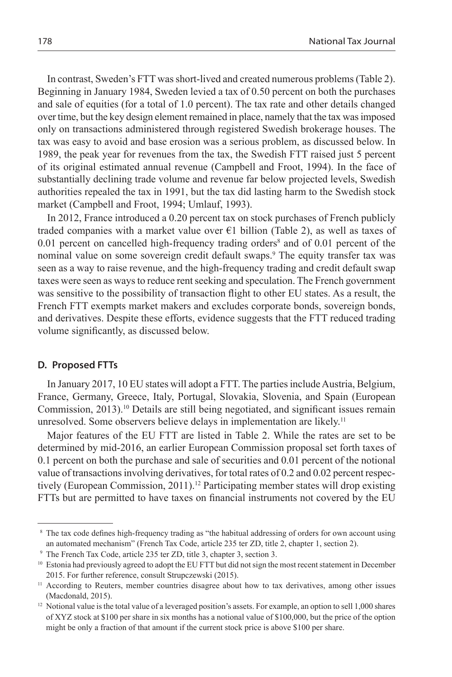In contrast, Sweden's FTT was short-lived and created numerous problems (Table 2). Beginning in January 1984, Sweden levied a tax of 0.50 percent on both the purchases and sale of equities (for a total of 1.0 percent). The tax rate and other details changed over time, but the key design element remained in place, namely that the tax was imposed only on transactions administered through registered Swedish brokerage houses. The tax was easy to avoid and base erosion was a serious problem, as discussed below. In 1989, the peak year for revenues from the tax, the Swedish FTT raised just 5 percent of its original estimated annual revenue (Campbell and Froot, 1994). In the face of substantially declining trade volume and revenue far below projected levels, Swedish authorities repealed the tax in 1991, but the tax did lasting harm to the Swedish stock market (Campbell and Froot, 1994; Umlauf, 1993).

In 2012, France introduced a 0.20 percent tax on stock purchases of French publicly traded companies with a market value over  $E1$  billion (Table 2), as well as taxes of  $0.01$  percent on cancelled high-frequency trading orders<sup>8</sup> and of  $0.01$  percent of the nominal value on some sovereign credit default swaps.<sup>9</sup> The equity transfer tax was seen as a way to raise revenue, and the high-frequency trading and credit default swap taxes were seen as ways to reduce rent seeking and speculation. The French government was sensitive to the possibility of transaction flight to other EU states. As a result, the French FTT exempts market makers and excludes corporate bonds, sovereign bonds, and derivatives. Despite these efforts, evidence suggests that the FTT reduced trading volume significantly, as discussed below.

#### **D. Proposed FTTs**

In January 2017, 10 EU states will adopt a FTT. The parties include Austria, Belgium, France, Germany, Greece, Italy, Portugal, Slovakia, Slovenia, and Spain (European Commission,  $2013$ .<sup>10</sup> Details are still being negotiated, and significant issues remain unresolved. Some observers believe delays in implementation are likely.<sup>11</sup>

Major features of the EU FTT are listed in Table 2. While the rates are set to be determined by mid-2016, an earlier European Commission proposal set forth taxes of 0.1 percent on both the purchase and sale of securities and 0.01 percent of the notional value of transactions involving derivatives, for total rates of 0.2 and 0.02 percent respectively (European Commission, 2011).<sup>12</sup> Participating member states will drop existing FTTs but are permitted to have taxes on financial instruments not covered by the EU

<sup>&</sup>lt;sup>8</sup> The tax code defines high-frequency trading as "the habitual addressing of orders for own account using an automated mechanism" (French Tax Code, article 235 ter ZD, title 2, chapter 1, section 2).

<sup>9</sup> The French Tax Code, article 235 ter ZD, title 3, chapter 3, section 3.

<sup>&</sup>lt;sup>10</sup> Estonia had previously agreed to adopt the EU FTT but did not sign the most recent statement in December 2015. For further reference, consult Strupczewski (2015).

<sup>&</sup>lt;sup>11</sup> According to Reuters, member countries disagree about how to tax derivatives, among other issues (Macdonald, 2015).

<sup>&</sup>lt;sup>12</sup> Notional value is the total value of a leveraged position's assets. For example, an option to sell 1,000 shares of XYZ stock at \$100 per share in six months has a notional value of \$100,000, but the price of the option might be only a fraction of that amount if the current stock price is above \$100 per share.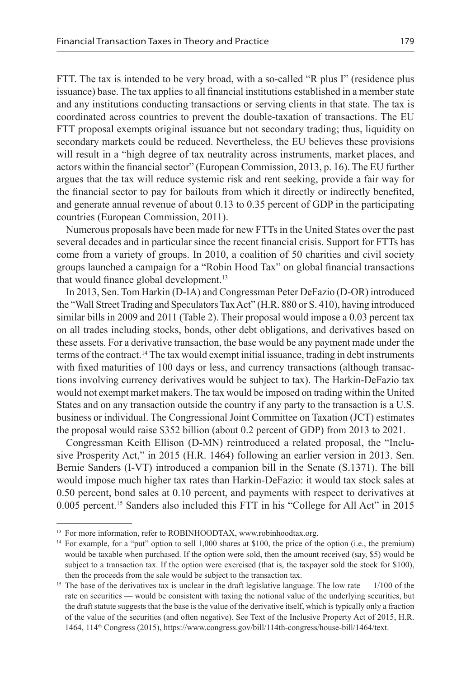FTT. The tax is intended to be very broad, with a so-called "R plus I" (residence plus issuance) base. The tax applies to all financial institutions established in a member state and any institutions conducting transactions or serving clients in that state. The tax is coordinated across countries to prevent the double-taxation of transactions. The EU FTT proposal exempts original issuance but not secondary trading; thus, liquidity on secondary markets could be reduced. Nevertheless, the EU believes these provisions will result in a "high degree of tax neutrality across instruments, market places, and actors within the financial sector" (European Commission, 2013, p. 16). The EU further argues that the tax will reduce systemic risk and rent seeking, provide a fair way for the financial sector to pay for bailouts from which it directly or indirectly benefited, and generate annual revenue of about 0.13 to 0.35 percent of GDP in the participating countries (European Commission, 2011).

Numerous proposals have been made for new FTTs in the United States over the past several decades and in particular since the recent financial crisis. Support for FTTs has come from a variety of groups. In 2010, a coalition of 50 charities and civil society groups launched a campaign for a "Robin Hood Tax" on global financial transactions that would finance global development.13

In 2013, Sen. Tom Harkin (D-IA) and Congressman Peter DeFazio (D-OR) introduced the "Wall Street Trading and Speculators Tax Act" (H.R. 880 or S. 410), having introduced similar bills in 2009 and 2011 (Table 2). Their proposal would impose a 0.03 percent tax on all trades including stocks, bonds, other debt obligations, and derivatives based on these assets. For a derivative transaction, the base would be any payment made under the terms of the contract.14 The tax would exempt initial issuance, trading in debt instruments with fixed maturities of 100 days or less, and currency transactions (although transactions involving currency derivatives would be subject to tax). The Harkin-DeFazio tax would not exempt market makers. The tax would be imposed on trading within the United States and on any transaction outside the country if any party to the transaction is a U.S. business or individual. The Congressional Joint Committee on Taxation (JCT) estimates the proposal would raise \$352 billion (about 0.2 percent of GDP) from 2013 to 2021.

Congressman Keith Ellison (D-MN) reintroduced a related proposal, the "Inclusive Prosperity Act," in 2015 (H.R. 1464) following an earlier version in 2013. Sen. Bernie Sanders (I-VT) introduced a companion bill in the Senate (S.1371). The bill would impose much higher tax rates than Harkin-DeFazio: it would tax stock sales at 0.50 percent, bond sales at 0.10 percent, and payments with respect to derivatives at 0.005 percent.15 Sanders also included this FTT in his "College for All Act" in 2015

<sup>&</sup>lt;sup>13</sup> For more information, refer to ROBINHOODTAX, www.robinhoodtax.org.<br><sup>14</sup> For example, for a "put" option to sell 1,000 shares at \$100, the price of the option (i.e., the premium) would be taxable when purchased. If the option were sold, then the amount received (say, \$5) would be subject to a transaction tax. If the option were exercised (that is, the taxpayer sold the stock for \$100), then the proceeds from the sale would be subject to the transaction tax.

<sup>&</sup>lt;sup>15</sup> The base of the derivatives tax is unclear in the draft legislative language. The low rate — 1/100 of the rate on securities — would be consistent with taxing the notional value of the underlying securities, but the draft statute suggests that the base is the value of the derivative itself, which is typically only a fraction of the value of the securities (and often negative). See Text of the Inclusive Property Act of 2015, H.R. 1464, 114th Congress (2015), https://www.congress.gov/bill/114th-congress/house-bill/1464/text.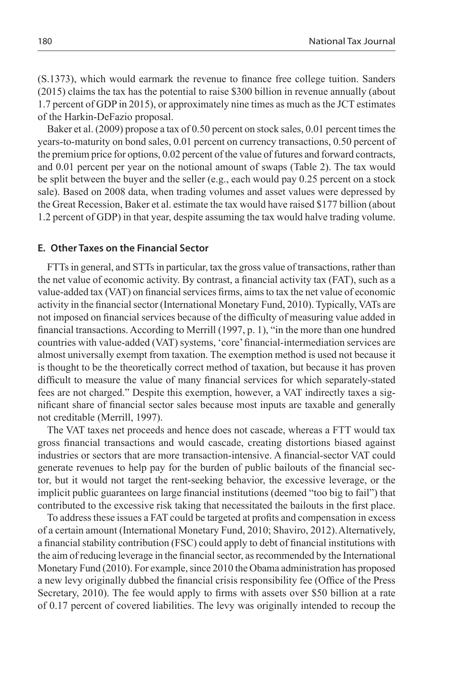(S.1373), which would earmark the revenue to finance free college tuition. Sanders (2015) claims the tax has the potential to raise \$300 billion in revenue annually (about 1.7 percent of GDP in 2015), or approximately nine times as much as the JCT estimates of the Harkin-DeFazio proposal.

Baker et al. (2009) propose a tax of 0.50 percent on stock sales, 0.01 percent times the years-to-maturity on bond sales, 0.01 percent on currency transactions, 0.50 percent of the premium price for options, 0.02 percent of the value of futures and forward contracts, and 0.01 percent per year on the notional amount of swaps (Table 2). The tax would be split between the buyer and the seller (e.g., each would pay  $0.25$  percent on a stock sale). Based on 2008 data, when trading volumes and asset values were depressed by the Great Recession, Baker et al. estimate the tax would have raised \$177 billion (about 1.2 percent of GDP) in that year, despite assuming the tax would halve trading volume.

## **E. Other Taxes on the Financial Sector**

FTTs in general, and STTs in particular, tax the gross value of transactions, rather than the net value of economic activity. By contrast, a financial activity tax (FAT), such as a value-added tax (VAT) on financial services firms, aims to tax the net value of economic activity in the financial sector (International Monetary Fund, 2010). Typically, VATs are not imposed on financial services because of the difficulty of measuring value added in financial transactions. According to Merrill (1997, p. 1), "in the more than one hundred countries with value-added (VAT) systems, 'core' financial-intermediation services are almost universally exempt from taxation. The exemption method is used not because it is thought to be the theoretically correct method of taxation, but because it has proven difficult to measure the value of many financial services for which separately-stated fees are not charged." Despite this exemption, however, a VAT indirectly taxes a significant share of financial sector sales because most inputs are taxable and generally not creditable (Merrill, 1997).

The VAT taxes net proceeds and hence does not cascade, whereas a FTT would tax gross financial transactions and would cascade, creating distortions biased against industries or sectors that are more transaction-intensive. A financial-sector VAT could generate revenues to help pay for the burden of public bailouts of the financial sector, but it would not target the rent-seeking behavior, the excessive leverage, or the implicit public guarantees on large financial institutions (deemed "too big to fail") that contributed to the excessive risk taking that necessitated the bailouts in the first place.

To address these issues a FAT could be targeted at profits and compensation in excess of a certain amount (International Monetary Fund, 2010; Shaviro, 2012).Alternatively, a financial stability contribution (FSC) could apply to debt of financial institutions with the aim of reducing leverage in the financial sector, as recommended by the International Monetary Fund (2010). For example, since 2010 the Obama administration has proposed a new levy originally dubbed the financial crisis responsibility fee (Office of the Press Secretary, 2010). The fee would apply to firms with assets over \$50 billion at a rate of 0.17 percent of covered liabilities. The levy was originally intended to recoup the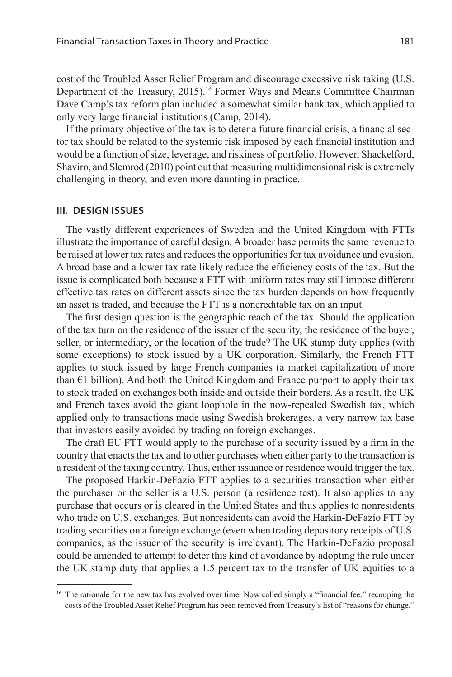cost of the Troubled Asset Relief Program and discourage excessive risk taking (U.S. Department of the Treasury, 2015).<sup>16</sup> Former Ways and Means Committee Chairman Dave Camp's tax reform plan included a somewhat similar bank tax, which applied to only very large financial institutions (Camp, 2014).

If the primary objective of the tax is to deter a future financial crisis, a financial sector tax should be related to the systemic risk imposed by each financial institution and would be a function of size, leverage, and riskiness of portfolio. However, Shackelford, Shaviro, and Slemrod (2010) point out that measuring multidimensional risk is extremely challenging in theory, and even more daunting in practice.

## **III. DESIGN ISSUES**

The vastly different experiences of Sweden and the United Kingdom with FTTs illustrate the importance of careful design. A broader base permits the same revenue to be raised at lower tax rates and reduces the opportunities for tax avoidance and evasion. A broad base and a lower tax rate likely reduce the efficiency costs of the tax. But the issue is complicated both because a FTT with uniform rates may still impose different effective tax rates on different assets since the tax burden depends on how frequently an asset is traded, and because the FTT is a noncreditable tax on an input.

The first design question is the geographic reach of the tax. Should the application of the tax turn on the residence of the issuer of the security, the residence of the buyer, seller, or intermediary, or the location of the trade? The UK stamp duty applies (with some exceptions) to stock issued by a UK corporation. Similarly, the French FTT applies to stock issued by large French companies (a market capitalization of more than  $E1$  billion). And both the United Kingdom and France purport to apply their tax to stock traded on exchanges both inside and outside their borders. As a result, the UK and French taxes avoid the giant loophole in the now-repealed Swedish tax, which applied only to transactions made using Swedish brokerages, a very narrow tax base that investors easily avoided by trading on foreign exchanges.

The draft EU FTT would apply to the purchase of a security issued by a firm in the country that enacts the tax and to other purchases when either party to the transaction is a resident of the taxing country. Thus, either issuance or residence would trigger the tax.

The proposed Harkin-DeFazio FTT applies to a securities transaction when either the purchaser or the seller is a U.S. person (a residence test). It also applies to any purchase that occurs or is cleared in the United States and thus applies to nonresidents who trade on U.S. exchanges. But nonresidents can avoid the Harkin-DeFazio FTT by trading securities on a foreign exchange (even when trading depository receipts of U.S. companies, as the issuer of the security is irrelevant). The Harkin-DeFazio proposal could be amended to attempt to deter this kind of avoidance by adopting the rule under the UK stamp duty that applies a 1.5 percent tax to the transfer of UK equities to a

<sup>&</sup>lt;sup>16</sup> The rationale for the new tax has evolved over time. Now called simply a "financial fee," recouping the costs of the Troubled Asset Relief Program has been removed from Treasury's list of "reasons for change."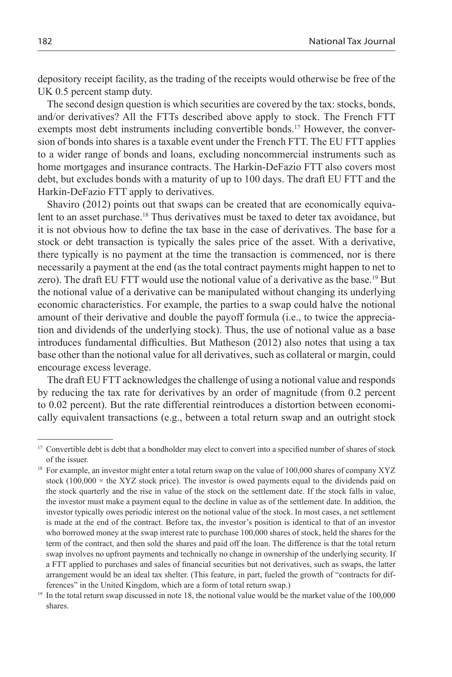depository receipt facility, as the trading of the receipts would otherwise be free of the UK 0.5 percent stamp duty.

The second design question is which securities are covered by the tax: stocks, bonds, and/or derivatives? All the FTTs described above apply to stock. The French FTT exempts most debt instruments including convertible bonds.<sup>17</sup> However, the conversion of bonds into shares is a taxable event under the French FTT. The EU FTT applies to a wider range of bonds and loans, excluding noncommercial instruments such as home mortgages and insurance contracts. The Harkin-DeFazio FTT also covers most debt, but excludes bonds with a maturity of up to 100 days. The draft EU FTT and the Harkin-DeFazio FTT apply to derivatives.

Shaviro (2012) points out that swaps can be created that are economically equivalent to an asset purchase.18 Thus derivatives must be taxed to deter tax avoidance, but it is not obvious how to define the tax base in the case of derivatives. The base for a stock or debt transaction is typically the sales price of the asset. With a derivative, there typically is no payment at the time the transaction is commenced, nor is there necessarily a payment at the end (as the total contract payments might happen to net to zero). The draft EU FTT would use the notional value of a derivative as the base.19 But the notional value of a derivative can be manipulated without changing its underlying economic characteristics. For example, the parties to a swap could halve the notional amount of their derivative and double the payoff formula (i.e., to twice the appreciation and dividends of the underlying stock). Thus, the use of notional value as a base introduces fundamental difficulties. But Matheson (2012) also notes that using a tax base other than the notional value for all derivatives, such as collateral or margin, could encourage excess leverage.

The draft EU FTT acknowledges the challenge of using a notional value and responds by reducing the tax rate for derivatives by an order of magnitude (from 0.2 percent to 0.02 percent). But the rate differential reintroduces a distortion between economically equivalent transactions (e.g., between a total return swap and an outright stock

<sup>&</sup>lt;sup>17</sup> Convertible debt is debt that a bondholder may elect to convert into a specified number of shares of stock of the issuer.

<sup>&</sup>lt;sup>18</sup> For example, an investor might enter a total return swap on the value of 100,000 shares of company XYZ stock  $(100,000 \times$  the XYZ stock price). The investor is owed payments equal to the dividends paid on the stock quarterly and the rise in value of the stock on the settlement date. If the stock falls in value, the investor must make a payment equal to the decline in value as of the settlement date. In addition, the investor typically owes periodic interest on the notional value of the stock. In most cases, a net settlement is made at the end of the contract. Before tax, the investor's position is identical to that of an investor who borrowed money at the swap interest rate to purchase 100,000 shares of stock, held the shares for the term of the contract, and then sold the shares and paid off the loan. The difference is that the total return swap involves no upfront payments and technically no change in ownership of the underlying security. If a FTT applied to purchases and sales of financial securities but not derivatives, such as swaps, the latter arrangement would be an ideal tax shelter. (This feature, in part, fueled the growth of "contracts for differences" in the United Kingdom, which are a form of total return swap.) 19 In the total return swap discussed in note 18, the notional value would be the market value of the 100,000

shares.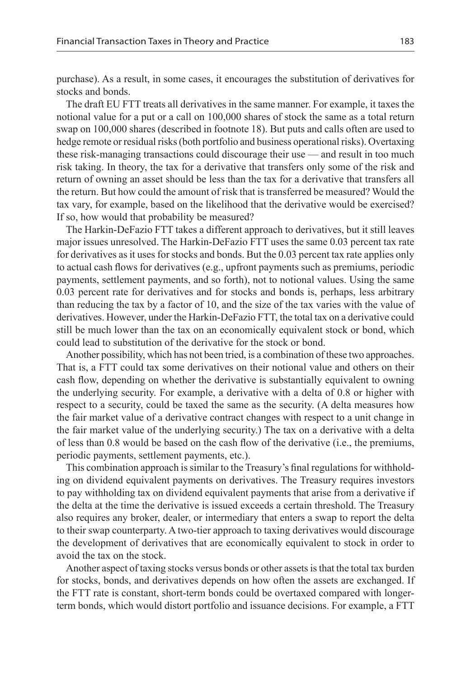purchase). As a result, in some cases, it encourages the substitution of derivatives for stocks and bonds.

The draft EU FTT treats all derivatives in the same manner. For example, it taxes the notional value for a put or a call on 100,000 shares of stock the same as a total return swap on 100,000 shares (described in footnote 18). But puts and calls often are used to hedge remote or residual risks (both portfolio and business operational risks). Overtaxing these risk-managing transactions could discourage their use — and result in too much risk taking. In theory, the tax for a derivative that transfers only some of the risk and return of owning an asset should be less than the tax for a derivative that transfers all the return. But how could the amount of risk that is transferred be measured? Would the tax vary, for example, based on the likelihood that the derivative would be exercised? If so, how would that probability be measured?

The Harkin-DeFazio FTT takes a different approach to derivatives, but it still leaves major issues unresolved. The Harkin-DeFazio FTT uses the same 0.03 percent tax rate for derivatives as it uses for stocks and bonds. But the 0.03 percent tax rate applies only to actual cash flows for derivatives (e.g., upfront payments such as premiums, periodic payments, settlement payments, and so forth), not to notional values. Using the same 0.03 percent rate for derivatives and for stocks and bonds is, perhaps, less arbitrary than reducing the tax by a factor of 10, and the size of the tax varies with the value of derivatives. However, under the Harkin-DeFazio FTT, the total tax on a derivative could still be much lower than the tax on an economically equivalent stock or bond, which could lead to substitution of the derivative for the stock or bond.

Another possibility, which has not been tried, is a combination of these two approaches. That is, a FTT could tax some derivatives on their notional value and others on their cash flow, depending on whether the derivative is substantially equivalent to owning the underlying security. For example, a derivative with a delta of 0.8 or higher with respect to a security, could be taxed the same as the security. (A delta measures how the fair market value of a derivative contract changes with respect to a unit change in the fair market value of the underlying security.) The tax on a derivative with a delta of less than 0.8 would be based on the cash flow of the derivative (i.e., the premiums, periodic payments, settlement payments, etc.).

This combination approach is similar to the Treasury's final regulations for withholding on dividend equivalent payments on derivatives. The Treasury requires investors to pay withholding tax on dividend equivalent payments that arise from a derivative if the delta at the time the derivative is issued exceeds a certain threshold. The Treasury also requires any broker, dealer, or intermediary that enters a swap to report the delta to their swap counterparty. A two-tier approach to taxing derivatives would discourage the development of derivatives that are economically equivalent to stock in order to avoid the tax on the stock.

Another aspect of taxing stocks versus bonds or other assets is that the total tax burden for stocks, bonds, and derivatives depends on how often the assets are exchanged. If the FTT rate is constant, short-term bonds could be overtaxed compared with longerterm bonds, which would distort portfolio and issuance decisions. For example, a FTT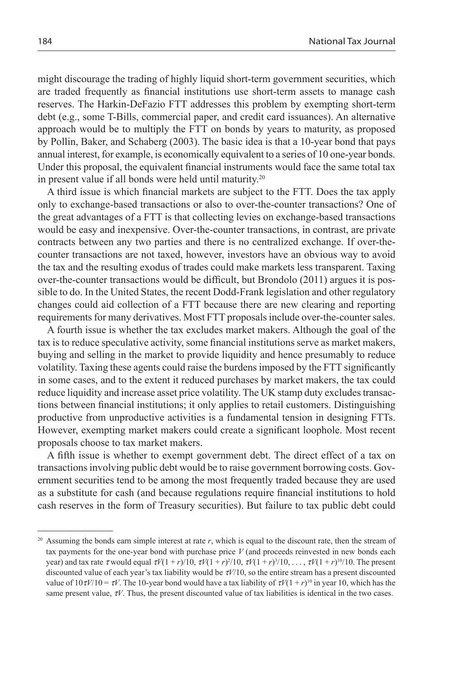might discourage the trading of highly liquid short-term government securities, which are traded frequently as financial institutions use short-term assets to manage cash reserves. The Harkin-DeFazio FTT addresses this problem by exempting short-term debt (e.g., some T-Bills, commercial paper, and credit card issuances). An alternative approach would be to multiply the FTT on bonds by years to maturity, as proposed by Pollin, Baker, and Schaberg (2003). The basic idea is that a 10-year bond that pays annual interest, for example, is economically equivalent to a series of 10 one-year bonds. Under this proposal, the equivalent financial instruments would face the same total tax in present value if all bonds were held until maturity.20

A third issue is which financial markets are subject to the FTT. Does the tax apply only to exchange-based transactions or also to over-the-counter transactions? One of the great advantages of a FTT is that collecting levies on exchange-based transactions would be easy and inexpensive. Over-the-counter transactions, in contrast, are private contracts between any two parties and there is no centralized exchange. If over-thecounter transactions are not taxed, however, investors have an obvious way to avoid the tax and the resulting exodus of trades could make markets less transparent. Taxing over-the-counter transactions would be difficult, but Brondolo (2011) argues it is possible to do. In the United States, the recent Dodd-Frank legislation and other regulatory changes could aid collection of a FTT because there are new clearing and reporting requirements for many derivatives. Most FTT proposals include over-the-counter sales.

A fourth issue is whether the tax excludes market makers. Although the goal of the tax is to reduce speculative activity, some financial institutions serve as market makers, buying and selling in the market to provide liquidity and hence presumably to reduce volatility. Taxing these agents could raise the burdens imposed by the FTT significantly in some cases, and to the extent it reduced purchases by market makers, the tax could reduce liquidity and increase asset price volatility. The UK stamp duty excludes transactions between financial institutions; it only applies to retail customers. Distinguishing productive from unproductive activities is a fundamental tension in designing FTTs. However, exempting market makers could create a significant loophole. Most recent proposals choose to tax market makers.

A fifth issue is whether to exempt government debt. The direct effect of a tax on transactions involving public debt would be to raise government borrowing costs. Government securities tend to be among the most frequently traded because they are used as a substitute for cash (and because regulations require financial institutions to hold cash reserves in the form of Treasury securities). But failure to tax public debt could

<sup>20</sup> Assuming the bonds earn simple interest at rate *r*, which is equal to the discount rate, then the stream of tax payments for the one-year bond with purchase price *V* (and proceeds reinvested in new bonds each year) and tax rate  $\tau$  would equal  $\tau V(1 + r)/10$ ,  $\tau V(1 + r)^2/10$ ,  $\tau V(1 + r)^3/10$ , ...,  $\tau V(1 + r)^{10}/10$ . The present discounted value of each year's tax liability would be τ*V*/10, so the entire stream has a present discounted value of  $10 \tau V/10 = \tau V$ . The 10-year bond would have a tax liability of  $\tau V(1 + r)^{10}$  in year 10, which has the same present value,  $\tau V$ . Thus, the present discounted value of tax liabilities is identical in the two cases.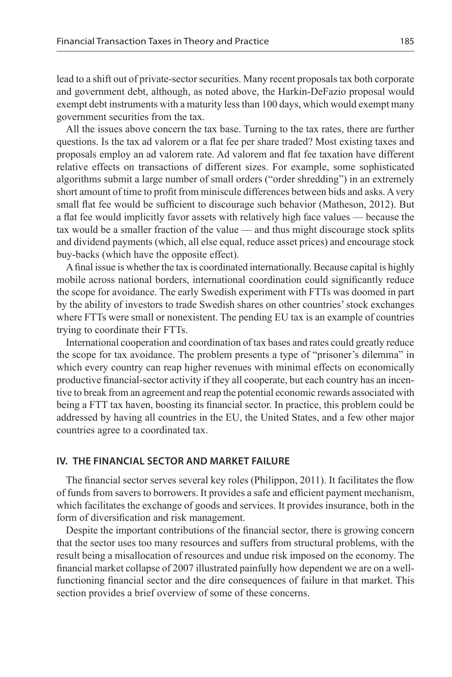lead to a shift out of private-sector securities. Many recent proposals tax both corporate and government debt, although, as noted above, the Harkin-DeFazio proposal would exempt debt instruments with a maturity less than 100 days, which would exempt many government securities from the tax.

All the issues above concern the tax base. Turning to the tax rates, there are further questions. Is the tax ad valorem or a flat fee per share traded? Most existing taxes and proposals employ an ad valorem rate. Ad valorem and flat fee taxation have different relative effects on transactions of different sizes. For example, some sophisticated algorithms submit a large number of small orders ("order shredding") in an extremely short amount of time to profit from miniscule differences between bids and asks. A very small flat fee would be sufficient to discourage such behavior (Matheson, 2012). But a flat fee would implicitly favor assets with relatively high face values — because the tax would be a smaller fraction of the value — and thus might discourage stock splits and dividend payments (which, all else equal, reduce asset prices) and encourage stock buy-backs (which have the opposite effect).

A final issue is whether the tax is coordinated internationally. Because capital is highly mobile across national borders, international coordination could significantly reduce the scope for avoidance. The early Swedish experiment with FTTs was doomed in part by the ability of investors to trade Swedish shares on other countries' stock exchanges where FTTs were small or nonexistent. The pending EU tax is an example of countries trying to coordinate their FTTs.

International cooperation and coordination of tax bases and rates could greatly reduce the scope for tax avoidance. The problem presents a type of "prisoner's dilemma" in which every country can reap higher revenues with minimal effects on economically productive financial-sector activity if they all cooperate, but each country has an incentive to break from an agreement and reap the potential economic rewards associated with being a FTT tax haven, boosting its financial sector. In practice, this problem could be addressed by having all countries in the EU, the United States, and a few other major countries agree to a coordinated tax.

## **IV. THE FINANCIAL SECTOR AND MARKET FAILURE**

The financial sector serves several key roles (Philippon, 2011). It facilitates the flow of funds from savers to borrowers. It provides a safe and efficient payment mechanism, which facilitates the exchange of goods and services. It provides insurance, both in the form of diversification and risk management.

Despite the important contributions of the financial sector, there is growing concern that the sector uses too many resources and suffers from structural problems, with the result being a misallocation of resources and undue risk imposed on the economy. The financial market collapse of 2007 illustrated painfully how dependent we are on a wellfunctioning financial sector and the dire consequences of failure in that market. This section provides a brief overview of some of these concerns.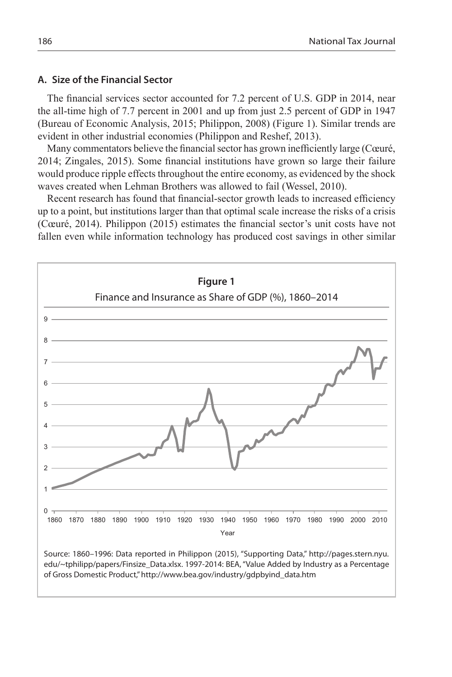## **A. Size of the Financial Sector**

The financial services sector accounted for 7.2 percent of U.S. GDP in 2014, near the all-time high of 7.7 percent in 2001 and up from just 2.5 percent of GDP in 1947 (Bureau of Economic Analysis, 2015; Philippon, 2008) (Figure 1). Similar trends are evident in other industrial economies (Philippon and Reshef, 2013).

Many commentators believe the financial sector has grown inefficiently large (Cœuré, 2014; Zingales, 2015). Some financial institutions have grown so large their failure would produce ripple effects throughout the entire economy, as evidenced by the shock waves created when Lehman Brothers was allowed to fail (Wessel, 2010).

Recent research has found that financial-sector growth leads to increased efficiency up to a point, but institutions larger than that optimal scale increase the risks of a crisis (Cœuré, 2014). Philippon (2015) estimates the financial sector's unit costs have not fallen even while information technology has produced cost savings in other similar

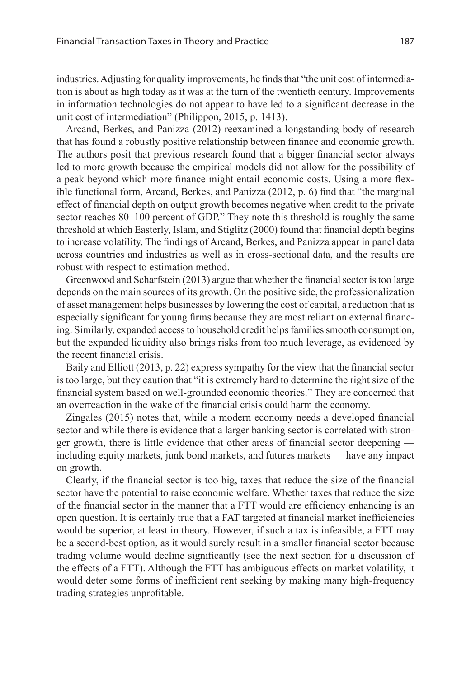industries. Adjusting for quality improvements, he finds that "the unit cost of intermediation is about as high today as it was at the turn of the twentieth century. Improvements in information technologies do not appear to have led to a significant decrease in the unit cost of intermediation" (Philippon, 2015, p. 1413).

Arcand, Berkes, and Panizza (2012) reexamined a longstanding body of research that has found a robustly positive relationship between finance and economic growth. The authors posit that previous research found that a bigger financial sector always led to more growth because the empirical models did not allow for the possibility of a peak beyond which more finance might entail economic costs. Using a more flexible functional form, Arcand, Berkes, and Panizza (2012, p. 6) find that "the marginal effect of financial depth on output growth becomes negative when credit to the private sector reaches 80–100 percent of GDP." They note this threshold is roughly the same threshold at which Easterly, Islam, and Stiglitz (2000) found that financial depth begins to increase volatility. The findings of Arcand, Berkes, and Panizza appear in panel data across countries and industries as well as in cross-sectional data, and the results are robust with respect to estimation method.

Greenwood and Scharfstein (2013) argue that whether the financial sector is too large depends on the main sources of its growth. On the positive side, the professionalization of asset management helps businesses by lowering the cost of capital, a reduction that is especially significant for young firms because they are most reliant on external financing. Similarly, expanded access to household credit helps families smooth consumption, but the expanded liquidity also brings risks from too much leverage, as evidenced by the recent financial crisis.

Baily and Elliott (2013, p. 22) express sympathy for the view that the financial sector is too large, but they caution that "it is extremely hard to determine the right size of the financial system based on well-grounded economic theories." They are concerned that an overreaction in the wake of the financial crisis could harm the economy.

Zingales (2015) notes that, while a modern economy needs a developed financial sector and while there is evidence that a larger banking sector is correlated with stronger growth, there is little evidence that other areas of financial sector deepening including equity markets, junk bond markets, and futures markets — have any impact on growth.

Clearly, if the financial sector is too big, taxes that reduce the size of the financial sector have the potential to raise economic welfare. Whether taxes that reduce the size of the financial sector in the manner that a FTT would are efficiency enhancing is an open question. It is certainly true that a FAT targeted at financial market inefficiencies would be superior, at least in theory. However, if such a tax is infeasible, a FTT may be a second-best option, as it would surely result in a smaller financial sector because trading volume would decline significantly (see the next section for a discussion of the effects of a FTT). Although the FTT has ambiguous effects on market volatility, it would deter some forms of inefficient rent seeking by making many high-frequency trading strategies unprofitable.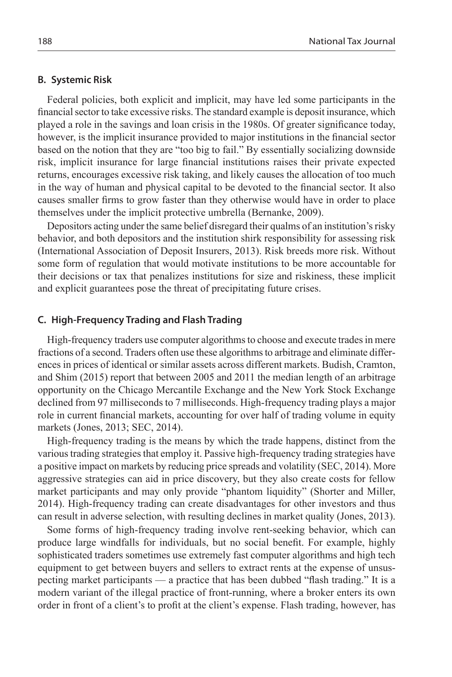#### **B. Systemic Risk**

Federal policies, both explicit and implicit, may have led some participants in the financial sector to take excessive risks. The standard example is deposit insurance, which played a role in the savings and loan crisis in the 1980s. Of greater significance today, however, is the implicit insurance provided to major institutions in the financial sector based on the notion that they are "too big to fail." By essentially socializing downside risk, implicit insurance for large financial institutions raises their private expected returns, encourages excessive risk taking, and likely causes the allocation of too much in the way of human and physical capital to be devoted to the financial sector. It also causes smaller firms to grow faster than they otherwise would have in order to place themselves under the implicit protective umbrella (Bernanke, 2009).

Depositors acting under the same belief disregard their qualms of an institution's risky behavior, and both depositors and the institution shirk responsibility for assessing risk (International Association of Deposit Insurers, 2013). Risk breeds more risk. Without some form of regulation that would motivate institutions to be more accountable for their decisions or tax that penalizes institutions for size and riskiness, these implicit and explicit guarantees pose the threat of precipitating future crises.

## **C. High-Frequency Trading and Flash Trading**

High-frequency traders use computer algorithms to choose and execute trades in mere fractions of a second. Traders often use these algorithms to arbitrage and eliminate differences in prices of identical or similar assets across different markets. Budish, Cramton, and Shim (2015) report that between 2005 and 2011 the median length of an arbitrage opportunity on the Chicago Mercantile Exchange and the New York Stock Exchange declined from 97 milliseconds to 7 milliseconds. High-frequency trading plays a major role in current financial markets, accounting for over half of trading volume in equity markets (Jones, 2013; SEC, 2014).

High-frequency trading is the means by which the trade happens, distinct from the various trading strategies that employ it. Passive high-frequency trading strategies have a positive impact on markets by reducing price spreads and volatility (SEC, 2014). More aggressive strategies can aid in price discovery, but they also create costs for fellow market participants and may only provide "phantom liquidity" (Shorter and Miller, 2014). High-frequency trading can create disadvantages for other investors and thus can result in adverse selection, with resulting declines in market quality (Jones, 2013).

Some forms of high-frequency trading involve rent-seeking behavior, which can produce large windfalls for individuals, but no social benefit. For example, highly sophisticated traders sometimes use extremely fast computer algorithms and high tech equipment to get between buyers and sellers to extract rents at the expense of unsuspecting market participants — a practice that has been dubbed "flash trading." It is a modern variant of the illegal practice of front-running, where a broker enters its own order in front of a client's to profit at the client's expense. Flash trading, however, has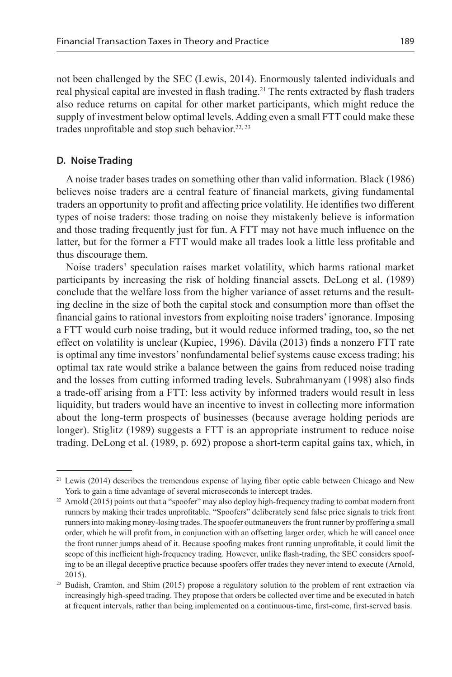not been challenged by the SEC (Lewis, 2014). Enormously talented individuals and real physical capital are invested in flash trading.<sup>21</sup> The rents extracted by flash traders also reduce returns on capital for other market participants, which might reduce the supply of investment below optimal levels. Adding even a small FTT could make these trades unprofitable and stop such behavior.<sup>22, 23</sup>

## **D. Noise Trading**

A noise trader bases trades on something other than valid information. Black (1986) believes noise traders are a central feature of financial markets, giving fundamental traders an opportunity to profit and affecting price volatility. He identifies two different types of noise traders: those trading on noise they mistakenly believe is information and those trading frequently just for fun. A FTT may not have much influence on the latter, but for the former a FTT would make all trades look a little less profitable and thus discourage them.

Noise traders' speculation raises market volatility, which harms rational market participants by increasing the risk of holding financial assets. DeLong et al. (1989) conclude that the welfare loss from the higher variance of asset returns and the resulting decline in the size of both the capital stock and consumption more than offset the financial gains to rational investors from exploiting noise traders' ignorance. Imposing a FTT would curb noise trading, but it would reduce informed trading, too, so the net effect on volatility is unclear (Kupiec, 1996). Dávila (2013) finds a nonzero FTT rate is optimal any time investors' nonfundamental belief systems cause excess trading; his optimal tax rate would strike a balance between the gains from reduced noise trading and the losses from cutting informed trading levels. Subrahmanyam (1998) also finds a trade-off arising from a FTT: less activity by informed traders would result in less liquidity, but traders would have an incentive to invest in collecting more information about the long-term prospects of businesses (because average holding periods are longer). Stiglitz (1989) suggests a FTT is an appropriate instrument to reduce noise trading. DeLong et al. (1989, p. 692) propose a short-term capital gains tax, which, in

<sup>&</sup>lt;sup>21</sup> Lewis (2014) describes the tremendous expense of laying fiber optic cable between Chicago and New York to gain a time advantage of several microseconds to intercept trades.

 $22$  Arnold (2015) points out that a "spoofer" may also deploy high-frequency trading to combat modern front runners by making their trades unprofitable. "Spoofers" deliberately send false price signals to trick front runners into making money-losing trades. The spoofer outmaneuvers the front runner by proffering a small order, which he will profit from, in conjunction with an offsetting larger order, which he will cancel once the front runner jumps ahead of it. Because spoofing makes front running unprofitable, it could limit the scope of this inefficient high-frequency trading. However, unlike flash-trading, the SEC considers spoofing to be an illegal deceptive practice because spoofers offer trades they never intend to execute (Arnold, 2015).<br><sup>23</sup> Budish, Cramton, and Shim (2015) propose a regulatory solution to the problem of rent extraction via

increasingly high-speed trading. They propose that orders be collected over time and be executed in batch at frequent intervals, rather than being implemented on a continuous-time, first-come, first-served basis.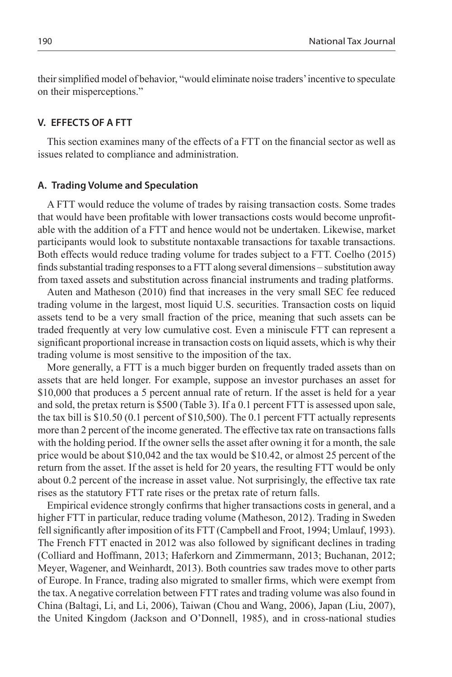their simplified model of behavior, "would eliminate noise traders' incentive to speculate on their misperceptions."

## **V. EFFECTS OF A FTT**

This section examines many of the effects of a FTT on the financial sector as well as issues related to compliance and administration.

## **A. Trading Volume and Speculation**

A FTT would reduce the volume of trades by raising transaction costs. Some trades that would have been profitable with lower transactions costs would become unprofitable with the addition of a FTT and hence would not be undertaken. Likewise, market participants would look to substitute nontaxable transactions for taxable transactions. Both effects would reduce trading volume for trades subject to a FTT. Coelho (2015) finds substantial trading responses to a FTT along several dimensions – substitution away from taxed assets and substitution across financial instruments and trading platforms.

Auten and Matheson (2010) find that increases in the very small SEC fee reduced trading volume in the largest, most liquid U.S. securities. Transaction costs on liquid assets tend to be a very small fraction of the price, meaning that such assets can be traded frequently at very low cumulative cost. Even a miniscule FTT can represent a significant proportional increase in transaction costs on liquid assets, which is why their trading volume is most sensitive to the imposition of the tax.

More generally, a FTT is a much bigger burden on frequently traded assets than on assets that are held longer. For example, suppose an investor purchases an asset for \$10,000 that produces a 5 percent annual rate of return. If the asset is held for a year and sold, the pretax return is \$500 (Table 3). If a 0.1 percent FTT is assessed upon sale, the tax bill is \$10.50 (0.1 percent of \$10,500). The 0.1 percent FTT actually represents more than 2 percent of the income generated. The effective tax rate on transactions falls with the holding period. If the owner sells the asset after owning it for a month, the sale price would be about \$10,042 and the tax would be \$10.42, or almost 25 percent of the return from the asset. If the asset is held for 20 years, the resulting FTT would be only about 0.2 percent of the increase in asset value. Not surprisingly, the effective tax rate rises as the statutory FTT rate rises or the pretax rate of return falls.

Empirical evidence strongly confirms that higher transactions costs in general, and a higher FTT in particular, reduce trading volume (Matheson, 2012). Trading in Sweden fell significantly after imposition of its FTT (Campbell and Froot, 1994; Umlauf, 1993). The French FTT enacted in 2012 was also followed by significant declines in trading (Colliard and Hoffmann, 2013; Haferkorn and Zimmermann, 2013; Buchanan, 2012; Meyer, Wagener, and Weinhardt, 2013). Both countries saw trades move to other parts of Europe. In France, trading also migrated to smaller firms, which were exempt from the tax. A negative correlation between FTT rates and trading volume was also found in China (Baltagi, Li, and Li, 2006), Taiwan (Chou and Wang, 2006), Japan (Liu, 2007), the United Kingdom (Jackson and O'Donnell, 1985), and in cross-national studies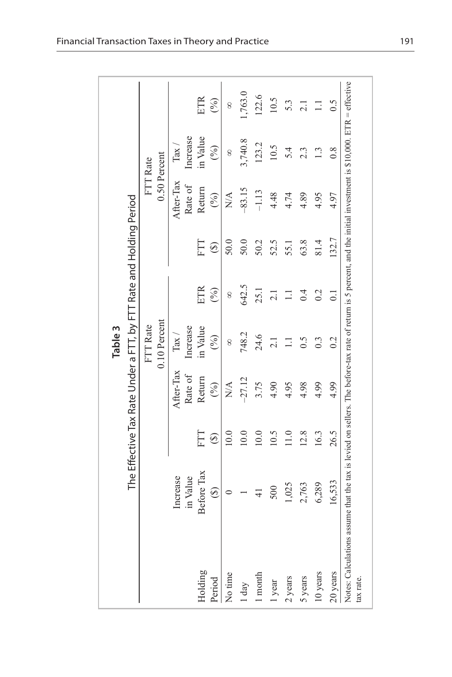|                                                                                                                                                                                  |               |               |                                                                    | Table 3            |                |         |                        |                    |            |
|----------------------------------------------------------------------------------------------------------------------------------------------------------------------------------|---------------|---------------|--------------------------------------------------------------------|--------------------|----------------|---------|------------------------|--------------------|------------|
|                                                                                                                                                                                  |               |               | The Effective Tax Rate Under a FTT, by FTT Rate and Holding Period |                    |                |         |                        |                    |            |
|                                                                                                                                                                                  |               |               |                                                                    | FTT Rate           |                |         |                        | FTT Rate           |            |
|                                                                                                                                                                                  |               |               |                                                                    | 0.10 Percent       |                |         | 0.50 Percent           |                    |            |
|                                                                                                                                                                                  | Increase      |               | After-Tax                                                          | $\mathrm{Tax}\, /$ |                |         | After-Tax              | $\mathrm{Tax}\, /$ |            |
|                                                                                                                                                                                  | in Value      |               | Rate of                                                            | Increase           |                |         | Rate of                | Increase           |            |
| Holding                                                                                                                                                                          | Before Tax    | ELE           | Return                                                             | in Value           | ETR            | Ë       | Return                 | in Value           | <b>ETR</b> |
| Period                                                                                                                                                                           | $\odot$       | $\circledast$ | (%)                                                                | (%)                | (%)            | $\odot$ | (%)                    | (%)                | (%)        |
| No time                                                                                                                                                                          |               | 10.0          | $\underset{\text{N}}{\leq}$                                        | 8                  | 8              | 50.0    | $\frac{\mathbf{A}}{N}$ | 8                  | 8          |
| 1 day                                                                                                                                                                            |               | 10.0          | $-27.12$                                                           | 748.2              | 642.5          | 50.0    | $-83.15$               | 3,740.8            | 1,763.0    |
| 1 month                                                                                                                                                                          | $\frac{1}{4}$ | $10.0$        | 3.75                                                               | 24.6               | 25.1           | 50.2    | $-1.13$                | 123.2              | 122.6      |
| l year                                                                                                                                                                           | 500           | 10.5          | 4.90                                                               | $\overline{2.1}$   | 2.1            | 52.5    | 4.48                   | 10.5               | 10.5       |
| 2 years                                                                                                                                                                          | 1,025         | 11.0          | 4.95                                                               | $\Xi$              | $\Xi$          | 55.1    | 4.74                   | 5.4                | 5.3        |
| 5 years                                                                                                                                                                          | 2,763         | 12.8          | 4.98                                                               | 0.5                | 0.4            | 63.8    | 4.89                   | $2.\overline{3}$   | 2.1        |
| 10 years                                                                                                                                                                         | 6,289         | 16.3          | 4.99                                                               |                    | 0.2            | 81.4    | 4.95                   | $\mathbf{r}$       | $\Xi$      |
| 20 years                                                                                                                                                                         | 16,533        | 26.5          | 4.99                                                               | 0.2                | $\overline{0}$ | 132.7   | 4.97                   | $\frac{8}{2}$      | 0.5        |
| Notes: Calculations assume that the tax is levied on sellers. The before-tax rate of return is 5 percent, and the initial investment is $$10,000$ . ETR = effective<br>tax rate. |               |               |                                                                    |                    |                |         |                        |                    |            |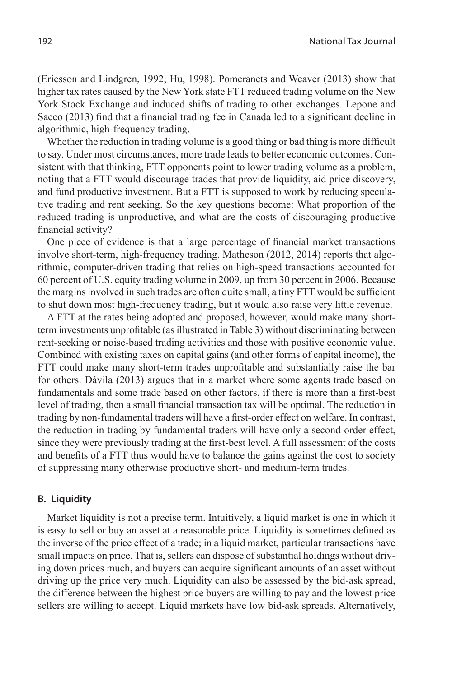(Ericsson and Lindgren, 1992; Hu, 1998). Pomeranets and Weaver (2013) show that higher tax rates caused by the New York state FTT reduced trading volume on the New York Stock Exchange and induced shifts of trading to other exchanges. Lepone and Sacco (2013) find that a financial trading fee in Canada led to a significant decline in algorithmic, high-frequency trading.

Whether the reduction in trading volume is a good thing or bad thing is more difficult to say. Under most circumstances, more trade leads to better economic outcomes. Consistent with that thinking, FTT opponents point to lower trading volume as a problem, noting that a FTT would discourage trades that provide liquidity, aid price discovery, and fund productive investment. But a FTT is supposed to work by reducing speculative trading and rent seeking. So the key questions become: What proportion of the reduced trading is unproductive, and what are the costs of discouraging productive financial activity?

One piece of evidence is that a large percentage of financial market transactions involve short-term, high-frequency trading. Matheson (2012, 2014) reports that algorithmic, computer-driven trading that relies on high-speed transactions accounted for 60 percent of U.S. equity trading volume in 2009, up from 30 percent in 2006. Because the margins involved in such trades are often quite small, a tiny FTT would be sufficient to shut down most high-frequency trading, but it would also raise very little revenue.

A FTT at the rates being adopted and proposed, however, would make many shortterm investments unprofitable (as illustrated in Table 3) without discriminating between rent-seeking or noise-based trading activities and those with positive economic value. Combined with existing taxes on capital gains (and other forms of capital income), the FTT could make many short-term trades unprofitable and substantially raise the bar for others. Dávila (2013) argues that in a market where some agents trade based on fundamentals and some trade based on other factors, if there is more than a first-best level of trading, then a small financial transaction tax will be optimal. The reduction in trading by non-fundamental traders will have a first-order effect on welfare. In contrast, the reduction in trading by fundamental traders will have only a second-order effect, since they were previously trading at the first-best level. A full assessment of the costs and benefits of a FTT thus would have to balance the gains against the cost to society of suppressing many otherwise productive short- and medium-term trades.

#### **B. Liquidity**

Market liquidity is not a precise term. Intuitively, a liquid market is one in which it is easy to sell or buy an asset at a reasonable price. Liquidity is sometimes defined as the inverse of the price effect of a trade; in a liquid market, particular transactions have small impacts on price. That is, sellers can dispose of substantial holdings without driving down prices much, and buyers can acquire significant amounts of an asset without driving up the price very much. Liquidity can also be assessed by the bid-ask spread, the difference between the highest price buyers are willing to pay and the lowest price sellers are willing to accept. Liquid markets have low bid-ask spreads. Alternatively,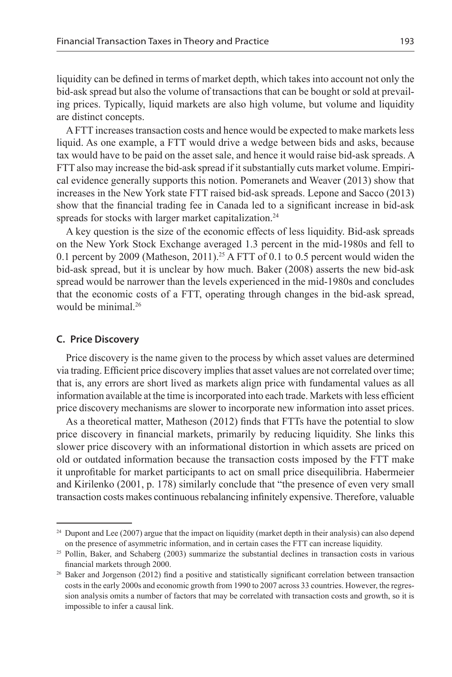liquidity can be defined in terms of market depth, which takes into account not only the bid-ask spread but also the volume of transactions that can be bought or sold at prevailing prices. Typically, liquid markets are also high volume, but volume and liquidity are distinct concepts.

A FTT increases transaction costs and hence would be expected to make markets less liquid. As one example, a FTT would drive a wedge between bids and asks, because tax would have to be paid on the asset sale, and hence it would raise bid-ask spreads. A FTT also may increase the bid-ask spread if it substantially cuts market volume. Empirical evidence generally supports this notion. Pomeranets and Weaver (2013) show that increases in the New York state FTT raised bid-ask spreads. Lepone and Sacco (2013) show that the financial trading fee in Canada led to a significant increase in bid-ask spreads for stocks with larger market capitalization.<sup>24</sup>

A key question is the size of the economic effects of less liquidity. Bid-ask spreads on the New York Stock Exchange averaged 1.3 percent in the mid-1980s and fell to 0.1 percent by 2009 (Matheson, 2011).<sup>25</sup> A FTT of 0.1 to 0.5 percent would widen the bid-ask spread, but it is unclear by how much. Baker (2008) asserts the new bid-ask spread would be narrower than the levels experienced in the mid-1980s and concludes that the economic costs of a FTT, operating through changes in the bid-ask spread, would be minimal.<sup>26</sup>

#### **C. Price Discovery**

Price discovery is the name given to the process by which asset values are determined via trading. Efficient price discovery implies that asset values are not correlated over time; that is, any errors are short lived as markets align price with fundamental values as all information available at the time is incorporated into each trade. Markets with less efficient price discovery mechanisms are slower to incorporate new information into asset prices.

As a theoretical matter, Matheson (2012) finds that FTTs have the potential to slow price discovery in financial markets, primarily by reducing liquidity. She links this slower price discovery with an informational distortion in which assets are priced on old or outdated information because the transaction costs imposed by the FTT make it unprofitable for market participants to act on small price disequilibria. Habermeier and Kirilenko (2001, p. 178) similarly conclude that "the presence of even very small transaction costs makes continuous rebalancing infinitely expensive. Therefore, valuable

<sup>&</sup>lt;sup>24</sup> Dupont and Lee (2007) argue that the impact on liquidity (market depth in their analysis) can also depend on the presence of asymmetric information, and in certain cases the FTT can increase liquidity.

<sup>&</sup>lt;sup>25</sup> Pollin, Baker, and Schaberg (2003) summarize the substantial declines in transaction costs in various financial markets through 2000.

 $26$  Baker and Jorgenson (2012) find a positive and statistically significant correlation between transaction costs in the early 2000s and economic growth from 1990 to 2007 across 33 countries. However, the regression analysis omits a number of factors that may be correlated with transaction costs and growth, so it is impossible to infer a causal link.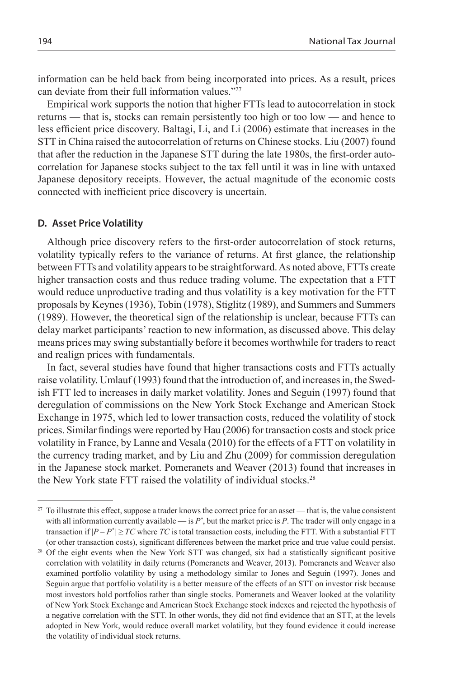information can be held back from being incorporated into prices. As a result, prices can deviate from their full information values."27

Empirical work supports the notion that higher FTTs lead to autocorrelation in stock returns — that is, stocks can remain persistently too high or too low — and hence to less efficient price discovery. Baltagi, Li, and Li (2006) estimate that increases in the STT in China raised the autocorrelation of returns on Chinese stocks. Liu (2007) found that after the reduction in the Japanese STT during the late 1980s, the first-order autocorrelation for Japanese stocks subject to the tax fell until it was in line with untaxed Japanese depository receipts. However, the actual magnitude of the economic costs connected with inefficient price discovery is uncertain.

#### **D. Asset Price Volatility**

Although price discovery refers to the first-order autocorrelation of stock returns, volatility typically refers to the variance of returns. At first glance, the relationship between FTTs and volatility appears to be straightforward. As noted above, FTTs create higher transaction costs and thus reduce trading volume. The expectation that a FTT would reduce unproductive trading and thus volatility is a key motivation for the FTT proposals by Keynes (1936), Tobin (1978), Stiglitz (1989), and Summers and Summers (1989). However, the theoretical sign of the relationship is unclear, because FTTs can delay market participants' reaction to new information, as discussed above. This delay means prices may swing substantially before it becomes worthwhile for traders to react and realign prices with fundamentals.

In fact, several studies have found that higher transactions costs and FTTs actually raise volatility. Umlauf (1993) found that the introduction of, and increases in, the Swedish FTT led to increases in daily market volatility. Jones and Seguin (1997) found that deregulation of commissions on the New York Stock Exchange and American Stock Exchange in 1975, which led to lower transaction costs, reduced the volatility of stock prices. Similar findings were reported by Hau (2006) for transaction costs and stock price volatility in France, by Lanne and Vesala (2010) for the effects of a FTT on volatility in the currency trading market, and by Liu and Zhu (2009) for commission deregulation in the Japanese stock market. Pomeranets and Weaver (2013) found that increases in the New York state FTT raised the volatility of individual stocks.28

<sup>&</sup>lt;sup>27</sup> To illustrate this effect, suppose a trader knows the correct price for an asset — that is, the value consistent with all information currently available — is  $P^*$ , but the market price is  $P$ . The trader will only engage in a transaction if  $|P - P^*| \geq TC$  where *TC* is total transaction costs, including the FTT. With a substantial FTT

<sup>(</sup>or other transaction costs), significant differences between the market price and true value could persist. 28 Of the eight events when the New York STT was changed, six had a statistically significant positive correlation with volatility in daily returns (Pomeranets and Weaver, 2013). Pomeranets and Weaver also examined portfolio volatility by using a methodology similar to Jones and Seguin (1997). Jones and Seguin argue that portfolio volatility is a better measure of the effects of an STT on investor risk because most investors hold portfolios rather than single stocks. Pomeranets and Weaver looked at the volatility of New York Stock Exchange and American Stock Exchange stock indexes and rejected the hypothesis of a negative correlation with the STT. In other words, they did not find evidence that an STT, at the levels adopted in New York, would reduce overall market volatility, but they found evidence it could increase the volatility of individual stock returns.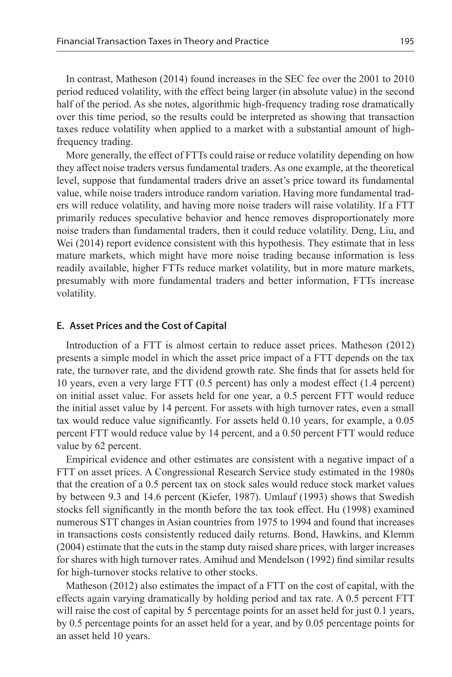In contrast, Matheson (2014) found increases in the SEC fee over the 2001 to 2010 period reduced volatility, with the effect being larger (in absolute value) in the second half of the period. As she notes, algorithmic high-frequency trading rose dramatically over this time period, so the results could be interpreted as showing that transaction taxes reduce volatility when applied to a market with a substantial amount of highfrequency trading.

More generally, the effect of FTTs could raise or reduce volatility depending on how they affect noise traders versus fundamental traders. As one example, at the theoretical level, suppose that fundamental traders drive an asset's price toward its fundamental value, while noise traders introduce random variation. Having more fundamental traders will reduce volatility, and having more noise traders will raise volatility. If a FTT primarily reduces speculative behavior and hence removes disproportionately more noise traders than fundamental traders, then it could reduce volatility. Deng, Liu, and Wei (2014) report evidence consistent with this hypothesis. They estimate that in less mature markets, which might have more noise trading because information is less readily available, higher FTTs reduce market volatility, but in more mature markets, presumably with more fundamental traders and better information, FTTs increase volatility.

#### **E. Asset Prices and the Cost of Capital**

Introduction of a FTT is almost certain to reduce asset prices. Matheson (2012) presents a simple model in which the asset price impact of a FTT depends on the tax rate, the turnover rate, and the dividend growth rate. She finds that for assets held for 10 years, even a very large FTT (0.5 percent) has only a modest effect (1.4 percent) on initial asset value. For assets held for one year, a 0.5 percent FTT would reduce the initial asset value by 14 percent. For assets with high turnover rates, even a small tax would reduce value significantly. For assets held 0.10 years, for example, a 0.05 percent FTT would reduce value by 14 percent, and a 0.50 percent FTT would reduce value by 62 percent.

Empirical evidence and other estimates are consistent with a negative impact of a FTT on asset prices. A Congressional Research Service study estimated in the 1980s that the creation of a 0.5 percent tax on stock sales would reduce stock market values by between 9.3 and 14.6 percent (Kiefer, 1987). Umlauf (1993) shows that Swedish stocks fell significantly in the month before the tax took effect. Hu (1998) examined numerous STT changes in Asian countries from 1975 to 1994 and found that increases in transactions costs consistently reduced daily returns. Bond, Hawkins, and Klemm (2004) estimate that the cuts in the stamp duty raised share prices, with larger increases for shares with high turnover rates. Amihud and Mendelson (1992) find similar results for high-turnover stocks relative to other stocks.

Matheson (2012) also estimates the impact of a FTT on the cost of capital, with the effects again varying dramatically by holding period and tax rate. A 0.5 percent FTT will raise the cost of capital by 5 percentage points for an asset held for just 0.1 years, by 0.5 percentage points for an asset held for a year, and by 0.05 percentage points for an asset held 10 years.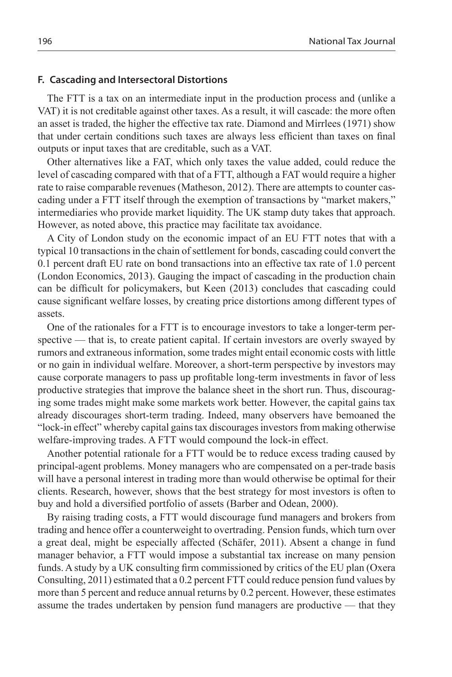#### **F. Cascading and Intersectoral Distortions**

The FTT is a tax on an intermediate input in the production process and (unlike a VAT) it is not creditable against other taxes. As a result, it will cascade: the more often an asset is traded, the higher the effective tax rate. Diamond and Mirrlees (1971) show that under certain conditions such taxes are always less efficient than taxes on final outputs or input taxes that are creditable, such as a VAT.

Other alternatives like a FAT, which only taxes the value added, could reduce the level of cascading compared with that of a FTT, although a FAT would require a higher rate to raise comparable revenues (Matheson, 2012). There are attempts to counter cascading under a FTT itself through the exemption of transactions by "market makers," intermediaries who provide market liquidity. The UK stamp duty takes that approach. However, as noted above, this practice may facilitate tax avoidance.

A City of London study on the economic impact of an EU FTT notes that with a typical 10 transactions in the chain of settlement for bonds, cascading could convert the 0.1 percent draft EU rate on bond transactions into an effective tax rate of 1.0 percent (London Economics, 2013). Gauging the impact of cascading in the production chain can be difficult for policymakers, but Keen (2013) concludes that cascading could cause significant welfare losses, by creating price distortions among different types of assets.

One of the rationales for a FTT is to encourage investors to take a longer-term perspective — that is, to create patient capital. If certain investors are overly swayed by rumors and extraneous information, some trades might entail economic costs with little or no gain in individual welfare. Moreover, a short-term perspective by investors may cause corporate managers to pass up profitable long-term investments in favor of less productive strategies that improve the balance sheet in the short run. Thus, discouraging some trades might make some markets work better. However, the capital gains tax already discourages short-term trading. Indeed, many observers have bemoaned the "lock-in effect" whereby capital gains tax discourages investors from making otherwise welfare-improving trades. A FTT would compound the lock-in effect.

Another potential rationale for a FTT would be to reduce excess trading caused by principal-agent problems. Money managers who are compensated on a per-trade basis will have a personal interest in trading more than would otherwise be optimal for their clients. Research, however, shows that the best strategy for most investors is often to buy and hold a diversified portfolio of assets (Barber and Odean, 2000).

By raising trading costs, a FTT would discourage fund managers and brokers from trading and hence offer a counterweight to overtrading. Pension funds, which turn over a great deal, might be especially affected (Schäfer, 2011). Absent a change in fund manager behavior, a FTT would impose a substantial tax increase on many pension funds. A study by a UK consulting firm commissioned by critics of the EU plan (Oxera Consulting, 2011) estimated that a 0.2 percent FTT could reduce pension fund values by more than 5 percent and reduce annual returns by 0.2 percent. However, these estimates assume the trades undertaken by pension fund managers are productive — that they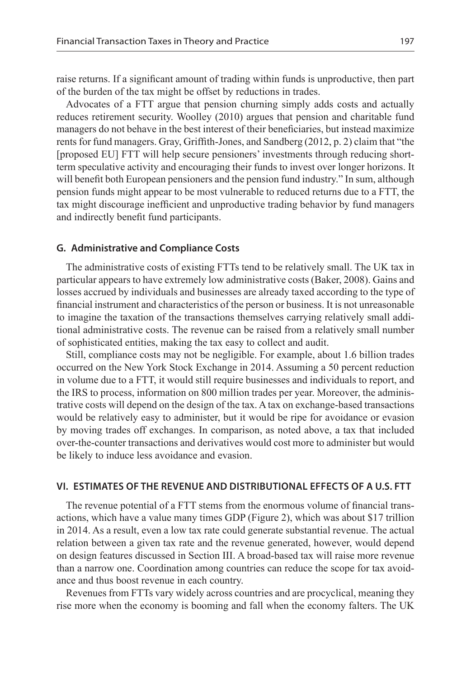raise returns. If a significant amount of trading within funds is unproductive, then part of the burden of the tax might be offset by reductions in trades.

Advocates of a FTT argue that pension churning simply adds costs and actually reduces retirement security. Woolley (2010) argues that pension and charitable fund managers do not behave in the best interest of their beneficiaries, but instead maximize rents for fund managers. Gray, Griffith-Jones, and Sandberg (2012, p. 2) claim that "the [proposed EU] FTT will help secure pensioners' investments through reducing shortterm speculative activity and encouraging their funds to invest over longer horizons. It will benefit both European pensioners and the pension fund industry." In sum, although pension funds might appear to be most vulnerable to reduced returns due to a FTT, the tax might discourage inefficient and unproductive trading behavior by fund managers and indirectly benefit fund participants.

#### **G. Administrative and Compliance Costs**

The administrative costs of existing FTTs tend to be relatively small. The UK tax in particular appears to have extremely low administrative costs (Baker, 2008). Gains and losses accrued by individuals and businesses are already taxed according to the type of financial instrument and characteristics of the person or business. It is not unreasonable to imagine the taxation of the transactions themselves carrying relatively small additional administrative costs. The revenue can be raised from a relatively small number of sophisticated entities, making the tax easy to collect and audit.

Still, compliance costs may not be negligible. For example, about 1.6 billion trades occurred on the New York Stock Exchange in 2014. Assuming a 50 percent reduction in volume due to a FTT, it would still require businesses and individuals to report, and the IRS to process, information on 800 million trades per year. Moreover, the administrative costs will depend on the design of the tax. A tax on exchange-based transactions would be relatively easy to administer, but it would be ripe for avoidance or evasion by moving trades off exchanges. In comparison, as noted above, a tax that included over-the-counter transactions and derivatives would cost more to administer but would be likely to induce less avoidance and evasion.

## **VI. Estimates of the Revenue and Distributional Effects of a U.S. FTT**

The revenue potential of a FTT stems from the enormous volume of financial transactions, which have a value many times GDP (Figure 2), which was about \$17 trillion in 2014. As a result, even a low tax rate could generate substantial revenue. The actual relation between a given tax rate and the revenue generated, however, would depend on design features discussed in Section III. A broad-based tax will raise more revenue than a narrow one. Coordination among countries can reduce the scope for tax avoidance and thus boost revenue in each country.

Revenues from FTTs vary widely across countries and are procyclical, meaning they rise more when the economy is booming and fall when the economy falters. The UK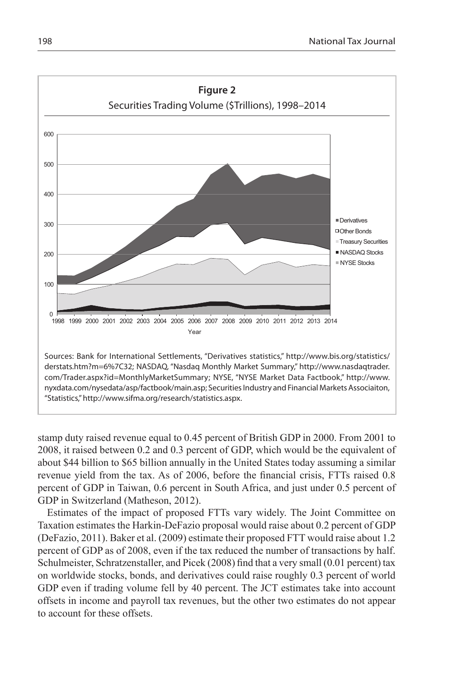

stamp duty raised revenue equal to 0.45 percent of British GDP in 2000. From 2001 to 2008, it raised between 0.2 and 0.3 percent of GDP, which would be the equivalent of about \$44 billion to \$65 billion annually in the United States today assuming a similar revenue yield from the tax. As of 2006, before the financial crisis, FTTs raised 0.8 percent of GDP in Taiwan, 0.6 percent in South Africa, and just under 0.5 percent of GDP in Switzerland (Matheson, 2012).

Estimates of the impact of proposed FTTs vary widely. The Joint Committee on Taxation estimates the Harkin-DeFazio proposal would raise about 0.2 percent of GDP (DeFazio, 2011). Baker et al. (2009) estimate their proposed FTT would raise about 1.2 percent of GDP as of 2008, even if the tax reduced the number of transactions by half. Schulmeister, Schratzenstaller, and Picek (2008) find that a very small (0.01 percent) tax on worldwide stocks, bonds, and derivatives could raise roughly 0.3 percent of world GDP even if trading volume fell by 40 percent. The JCT estimates take into account offsets in income and payroll tax revenues, but the other two estimates do not appear to account for these offsets.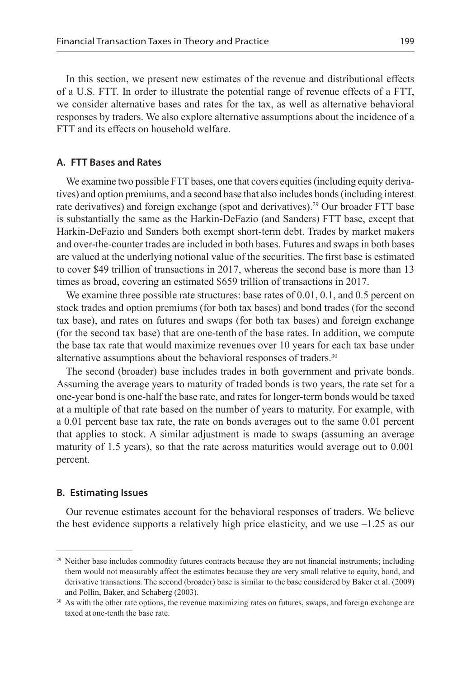In this section, we present new estimates of the revenue and distributional effects of a U.S. FTT. In order to illustrate the potential range of revenue effects of a FTT, we consider alternative bases and rates for the tax, as well as alternative behavioral responses by traders. We also explore alternative assumptions about the incidence of a FTT and its effects on household welfare.

#### **A. FTT Bases and Rates**

We examine two possible FTT bases, one that covers equities (including equity derivatives) and option premiums, and a second base that also includes bonds (including interest rate derivatives) and foreign exchange (spot and derivatives).29 Our broader FTT base is substantially the same as the Harkin-DeFazio (and Sanders) FTT base, except that Harkin-DeFazio and Sanders both exempt short-term debt. Trades by market makers and over-the-counter trades are included in both bases. Futures and swaps in both bases are valued at the underlying notional value of the securities. The first base is estimated to cover \$49 trillion of transactions in 2017, whereas the second base is more than 13 times as broad, covering an estimated \$659 trillion of transactions in 2017.

We examine three possible rate structures: base rates of 0.01, 0.1, and 0.5 percent on stock trades and option premiums (for both tax bases) and bond trades (for the second tax base), and rates on futures and swaps (for both tax bases) and foreign exchange (for the second tax base) that are one-tenth of the base rates. In addition, we compute the base tax rate that would maximize revenues over 10 years for each tax base under alternative assumptions about the behavioral responses of traders.30

The second (broader) base includes trades in both government and private bonds. Assuming the average years to maturity of traded bonds is two years, the rate set for a one-year bond is one-half the base rate, and rates for longer-term bonds would be taxed at a multiple of that rate based on the number of years to maturity. For example, with a 0.01 percent base tax rate, the rate on bonds averages out to the same 0.01 percent that applies to stock. A similar adjustment is made to swaps (assuming an average maturity of 1.5 years), so that the rate across maturities would average out to 0.001 percent.

#### **B. Estimating Issues**

Our revenue estimates account for the behavioral responses of traders. We believe the best evidence supports a relatively high price elasticity, and we use  $-1.25$  as our

<sup>&</sup>lt;sup>29</sup> Neither base includes commodity futures contracts because they are not financial instruments; including them would not measurably affect the estimates because they are very small relative to equity, bond, and derivative transactions. The second (broader) base is similar to the base considered by Baker et al. (2009) and Pollin, Baker, and Schaberg (2003).

<sup>&</sup>lt;sup>30</sup> As with the other rate options, the revenue maximizing rates on futures, swaps, and foreign exchange are taxed at one-tenth the base rate.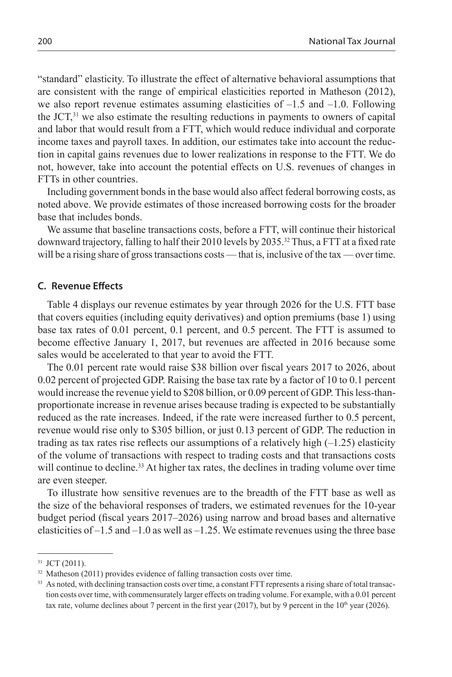"standard" elasticity. To illustrate the effect of alternative behavioral assumptions that are consistent with the range of empirical elasticities reported in Matheson (2012), we also report revenue estimates assuming elasticities of  $-1.5$  and  $-1.0$ . Following the JCT,31 we also estimate the resulting reductions in payments to owners of capital and labor that would result from a FTT, which would reduce individual and corporate income taxes and payroll taxes. In addition, our estimates take into account the reduction in capital gains revenues due to lower realizations in response to the FTT. We do not, however, take into account the potential effects on U.S. revenues of changes in FTTs in other countries.

Including government bonds in the base would also affect federal borrowing costs, as noted above. We provide estimates of those increased borrowing costs for the broader base that includes bonds.

We assume that baseline transactions costs, before a FTT, will continue their historical downward trajectory, falling to half their 2010 levels by 2035.32 Thus, a FTT at a fixed rate will be a rising share of gross transactions costs — that is, inclusive of the tax — over time.

## **C. Revenue Effects**

Table 4 displays our revenue estimates by year through 2026 for the U.S. FTT base that covers equities (including equity derivatives) and option premiums (base 1) using base tax rates of 0.01 percent, 0.1 percent, and 0.5 percent. The FTT is assumed to become effective January 1, 2017, but revenues are affected in 2016 because some sales would be accelerated to that year to avoid the FTT.

The 0.01 percent rate would raise \$38 billion over fiscal years 2017 to 2026, about 0.02 percent of projected GDP. Raising the base tax rate by a factor of 10 to 0.1 percent would increase the revenue yield to \$208 billion, or 0.09 percent of GDP. This less-thanproportionate increase in revenue arises because trading is expected to be substantially reduced as the rate increases. Indeed, if the rate were increased further to 0.5 percent, revenue would rise only to \$305 billion, or just 0.13 percent of GDP. The reduction in trading as tax rates rise reflects our assumptions of a relatively high  $(-1.25)$  elasticity of the volume of transactions with respect to trading costs and that transactions costs will continue to decline.<sup>33</sup> At higher tax rates, the declines in trading volume over time are even steeper.

To illustrate how sensitive revenues are to the breadth of the FTT base as well as the size of the behavioral responses of traders, we estimated revenues for the 10-year budget period (fiscal years 2017–2026) using narrow and broad bases and alternative elasticities of  $-1.5$  and  $-1.0$  as well as  $-1.25$ . We estimate revenues using the three base

<sup>31</sup> JCT (2011).

<sup>&</sup>lt;sup>32</sup> Matheson (2011) provides evidence of falling transaction costs over time.

<sup>&</sup>lt;sup>33</sup> As noted, with declining transaction costs over time, a constant FTT represents a rising share of total transaction costs over time, with commensurately larger effects on trading volume. For example, with a 0.01 percent tax rate, volume declines about 7 percent in the first year (2017), but by 9 percent in the  $10<sup>th</sup>$  year (2026).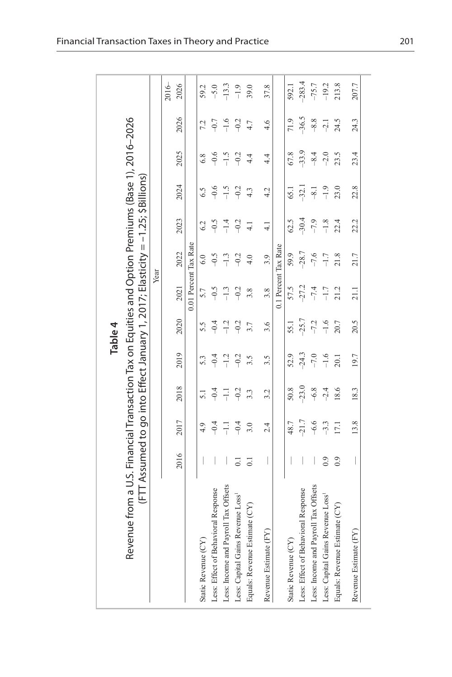|                                                                                                   |                                                                                 |         |                  |         | Table 4 |         |                       |               |         |         |         |          |
|---------------------------------------------------------------------------------------------------|---------------------------------------------------------------------------------|---------|------------------|---------|---------|---------|-----------------------|---------------|---------|---------|---------|----------|
| Revenue from a U.S. Financial Transaction Tax on Equities and Option Premiums (Base 1), 2016-2026 | (FTT Assumed to go into Effect January 1, 2017; Elasticity = -1.25; \$Billions) |         |                  |         |         |         |                       |               |         |         |         |          |
|                                                                                                   |                                                                                 |         |                  |         |         |         | Year                  |               |         |         |         |          |
|                                                                                                   |                                                                                 |         |                  |         |         |         |                       |               |         |         |         | $2016-$  |
|                                                                                                   | 2016                                                                            | 2017    | 2018             | 2019    | 2020    | 2021    | 2022                  | 2023          | 2024    | 2025    | 2026    | 2026     |
|                                                                                                   |                                                                                 |         |                  |         |         |         | 0.01 Percent Tax Rate |               |         |         |         |          |
| Static Revenue (CY)                                                                               |                                                                                 |         | $\overline{51}$  | 5.3     | 5.5     | 5.7     | 6.0                   | 6.2           | 6.5     | 6.8     |         | 59.2     |
| Less: Effect of Behavioral Response                                                               |                                                                                 | $-0.4$  | $-0.4$           | $-0.4$  | $-0.4$  | $-0.5$  | $-0.5$                | $-0.5$        | $-0.6$  | $-0.6$  | $-0.7$  | $-5.0$   |
| Less: Income and Payroll Tax Offsets                                                              |                                                                                 |         | ミニ               | $-1.2$  | $-1.2$  | $-1.3$  | $-1.3$                |               | $-1.5$  | $-1.5$  | $-1.6$  | $-13.3$  |
| Less: Capital Gains Revenue Loss <sup>1</sup>                                                     | $\overline{0}$                                                                  | $-0.4$  | $-0.2$           | $-0.2$  | $-0.2$  | $-0.2$  | $-0.2$                | $-0.2$        | $-0.2$  | $-0.2$  | $-0.2$  | $-1.9$   |
| Equals: Revenue Estimate (CY)                                                                     | $\overline{0}$                                                                  |         | $3.\overline{3}$ | 3.5     | 3.7     | 3.8     | 4.0                   |               | 4.3     | 4.4     | 4.7     | 39.0     |
| Revenue Estimate (FY)                                                                             | I                                                                               | 2.4     | 3.2              | 3.5     | 3.6     | 3.8     | 3.9                   | $\frac{1}{4}$ | 4.2     | 4.4     | 4.6     | 37.8     |
|                                                                                                   |                                                                                 |         |                  |         |         |         | 0.1 Percent Tax Rate  |               |         |         |         |          |
| Static Revenue (CY)                                                                               |                                                                                 | 48.7    | 50.8             | 52.9    | 55.1    | 57.5    | 59.9                  | 62.5          | 65.1    | 67.8    | 71.9    | 592.1    |
| Less: Effect of Behavioral Response                                                               |                                                                                 | $-21.7$ | $-23.0$          | $-24.3$ | $-25.7$ | $-27.2$ | $-28.7$               | $-30.4$       | $-32.1$ | $-33.9$ | $-36.5$ | $-283.4$ |
| Less: Income and Payroll Tax Offsets                                                              |                                                                                 | $-6.6$  | $-6.8$           | $-7.0$  | $-7.2$  | $-7.4$  | $-7.6$                | $-7.9$        | $-8 -$  | $-8.4$  | $-8.8$  | $-75.7$  |
| Less: Capital Gains Revenue Loss <sup>1</sup>                                                     | 0.9                                                                             | $-3.3$  | $-2.4$           | $-1.6$  | $-1.6$  | $-1.7$  | $-1.7$                | $-1.8$        | $-1.9$  | $-2.0$  | $-2.1$  | $-19.2$  |
| Equals: Revenue Estimate (CY)                                                                     | 0.9                                                                             | 17.1    | 18.6             | 20.1    | 20.7    | 21.2    | 21.8                  | 22.4          | 23.0    | 23.5    | 24.5    | 213.8    |
| Revenue Estimate (FY)                                                                             | $\overline{\phantom{a}}$                                                        | 13.8    | 18.3             | 19.7    | 20.5    | 21.1    | 21.7                  | 22.2          | 22.8    | 23.4    | 24.3    | 207.7    |
|                                                                                                   |                                                                                 |         |                  |         |         |         |                       |               |         |         |         |          |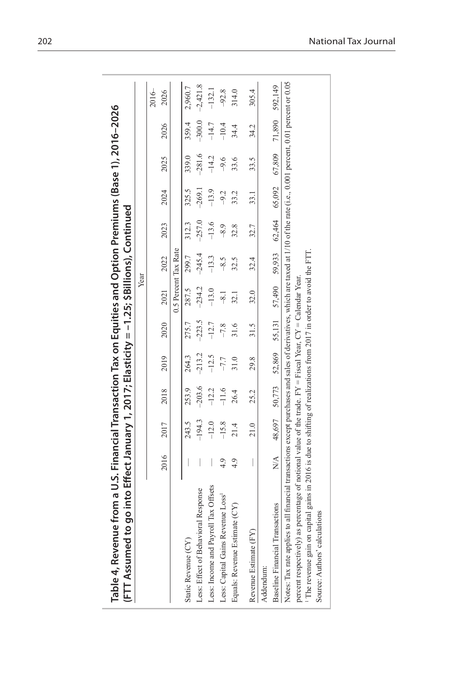| Table 4, Revenue from a U.S. Financial Transaction Tax on Equities and Option Premiums (Base 1), 2016–2026<br>(FTT Assumed to go into Effect January 1, 2017; Elasticity = -1.25; \$Billions), Continued |                |         |                 |          |         |                                                                       |         |         |          |          |         |                   |
|----------------------------------------------------------------------------------------------------------------------------------------------------------------------------------------------------------|----------------|---------|-----------------|----------|---------|-----------------------------------------------------------------------|---------|---------|----------|----------|---------|-------------------|
|                                                                                                                                                                                                          |                |         |                 |          |         |                                                                       | Year    |         |          |          |         |                   |
|                                                                                                                                                                                                          |                |         |                 |          |         |                                                                       |         |         |          |          |         | $2016-$           |
|                                                                                                                                                                                                          | 2016           | 2017    | 2018            | 2019     | 2020    | 2021                                                                  | 2022    | 2023    | 2024     | 2025     | 2026    | 2026              |
|                                                                                                                                                                                                          |                |         |                 |          |         | 0.5 Percent Tax Rate                                                  |         |         |          |          |         |                   |
| Static Revenue (CY)                                                                                                                                                                                      |                | 243.5   | 253.9           | 264.3    | 275.7   | 287.5                                                                 | 299.7   | 312.3   | 325.5    | 339.0    | 359.4   | 2,960.7           |
| Less: Effect of Behavioral Response                                                                                                                                                                      | I              |         | $-194.3 -203.6$ | $-213.2$ |         | $-223.5$ $-234.2$ $-245.4$ $-257.0$                                   |         |         | $-269.1$ | $-281.6$ |         | $-300.0 -2,421.8$ |
| Less: Income and Payroll Tax Offsets                                                                                                                                                                     |                | $-12.0$ | $-12.2$         | $-12.5$  | $-12.7$ | $-13.0$                                                               | $-13.3$ | $-13.6$ | $-13.9$  | $-14.2$  | $-14.7$ | $-132.1$          |
| Less: Capital Gains Revenue Loss <sup>1</sup>                                                                                                                                                            | 4.9            | $-15.8$ | $-11.6$         | $-7.7$   | $-7.8$  | $-8.1$                                                                | $-8.5$  | $-8.9$  | $-9.2$   | $-9.6$   | $-10.4$ | $-92.8$           |
| Equals: Revenue Estimate (CY)                                                                                                                                                                            | 4.9            | 21.4    | 26.4            | 31.0     |         | 32.1                                                                  | 32.5    | 32.8    | 33.2     | 33.6     | 34.4    | 314.0             |
| Revenue Estimate (FY)                                                                                                                                                                                    |                | 21.0    | 25.2            | 29.8     | 31.5    | 32.0                                                                  | 32.4    | 32.7    | 33.1     | 33.5     | 34.2    | 305.4             |
| Addendum:                                                                                                                                                                                                |                |         |                 |          |         |                                                                       |         |         |          |          |         |                   |
| <b>Baseline Financial Transactions</b>                                                                                                                                                                   | $\mathbb{R}^4$ |         |                 |          |         | 48,697 50,773 52,869 55,131 57,490 59,933 62,464 65,092 67,809 71,890 |         |         |          |          |         | 592,149           |
| Notes: Tax rate applies to all financial transactions except purchases and sales of derivatives, which are taxed at 1/10 of the rate (i.e., 0.001 percent, 0.01 percent or 0.05                          |                |         |                 |          |         |                                                                       |         |         |          |          |         |                   |
| percent respectively) as percentage of notional value of the trade. $FY = Fixed$ Year, $CY = Calculate$ Year.                                                                                            |                |         |                 |          |         |                                                                       |         |         |          |          |         |                   |
| <sup>1</sup> The revenue gain on capital gains in 2016 is due to shifting of realizations from 2017 in order to avoid the FTT.                                                                           |                |         |                 |          |         |                                                                       |         |         |          |          |         |                   |
| Source: Authors' calculations                                                                                                                                                                            |                |         |                 |          |         |                                                                       |         |         |          |          |         |                   |
|                                                                                                                                                                                                          |                |         |                 |          |         |                                                                       |         |         |          |          |         |                   |

í.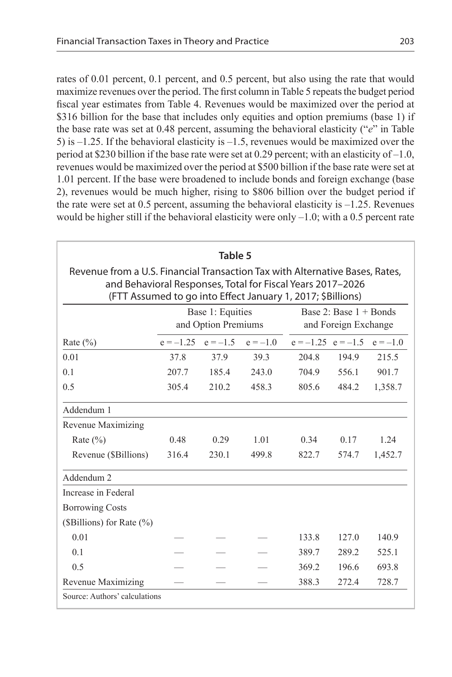rates of 0.01 percent, 0.1 percent, and 0.5 percent, but also using the rate that would maximize revenues over the period. The first column in Table 5 repeats the budget period fiscal year estimates from Table 4. Revenues would be maximized over the period at \$316 billion for the base that includes only equities and option premiums (base 1) if the base rate was set at 0.48 percent, assuming the behavioral elasticity ("*e*" in Table 5) is –1.25. If the behavioral elasticity is –1.5, revenues would be maximized over the period at \$230 billion if the base rate were set at 0.29 percent; with an elasticity of –1.0, revenues would be maximized over the period at \$500 billion if the base rate were set at 1.01 percent. If the base were broadened to include bonds and foreign exchange (base 2), revenues would be much higher, rising to \$806 billion over the budget period if the rate were set at 0.5 percent, assuming the behavioral elasticity is  $-1.25$ . Revenues would be higher still if the behavioral elasticity were only  $-1.0$ ; with a 0.5 percent rate

|                                                                                                                                                                                                           |             | Table 5                                 |            |                        |                                                     |            |
|-----------------------------------------------------------------------------------------------------------------------------------------------------------------------------------------------------------|-------------|-----------------------------------------|------------|------------------------|-----------------------------------------------------|------------|
| Revenue from a U.S. Financial Transaction Tax with Alternative Bases, Rates,<br>and Behavioral Responses, Total for Fiscal Years 2017-2026<br>(FTT Assumed to go into Effect January 1, 2017; \$Billions) |             |                                         |            |                        |                                                     |            |
|                                                                                                                                                                                                           |             | Base 1: Equities<br>and Option Premiums |            |                        | Base $2$ : Base $1 +$ Bonds<br>and Foreign Exchange |            |
| Rate $(\% )$                                                                                                                                                                                              | $e = -1.25$ | $e = -1.5$                              | $e = -1.0$ | $e = -1.25$ $e = -1.5$ |                                                     | $e = -1.0$ |
| 0.01                                                                                                                                                                                                      | 37.8        | 37.9                                    | 39.3       | 204.8                  | 194.9                                               | 215.5      |
| 0 <sub>1</sub>                                                                                                                                                                                            | 207.7       | 185.4                                   | 243.0      | 704.9                  | 556.1                                               | 901.7      |
| 0.5                                                                                                                                                                                                       | 305.4       | 210.2                                   | 458.3      | 805.6                  | 484.2                                               | 1,358.7    |
| Addendum 1                                                                                                                                                                                                |             |                                         |            |                        |                                                     |            |
| Revenue Maximizing                                                                                                                                                                                        |             |                                         |            |                        |                                                     |            |
| Rate $(\% )$                                                                                                                                                                                              | 0.48        | 0.29                                    | 1.01       | 0.34                   | 0.17                                                | 124        |
| Revenue (\$Billions)                                                                                                                                                                                      | 316.4       | 230.1                                   | 499.8      | 822.7                  | 574.7                                               | 1,452.7    |
| Addendum <sub>2</sub>                                                                                                                                                                                     |             |                                         |            |                        |                                                     |            |
| Increase in Federal                                                                                                                                                                                       |             |                                         |            |                        |                                                     |            |
| <b>Borrowing Costs</b>                                                                                                                                                                                    |             |                                         |            |                        |                                                     |            |
| (\$Billions) for Rate $(\% )$                                                                                                                                                                             |             |                                         |            |                        |                                                     |            |
| 0.01                                                                                                                                                                                                      |             |                                         |            | 133.8                  | 1270                                                | 140.9      |
| 0 <sub>1</sub>                                                                                                                                                                                            |             |                                         |            | 389.7                  | 289.2                                               | 525.1      |
| 0.5                                                                                                                                                                                                       |             |                                         |            | 369.2                  | 1966                                                | 693.8      |
| Revenue Maximizing                                                                                                                                                                                        |             |                                         |            | 388.3                  | 272.4                                               | 728.7      |
| Source: Authors' calculations                                                                                                                                                                             |             |                                         |            |                        |                                                     |            |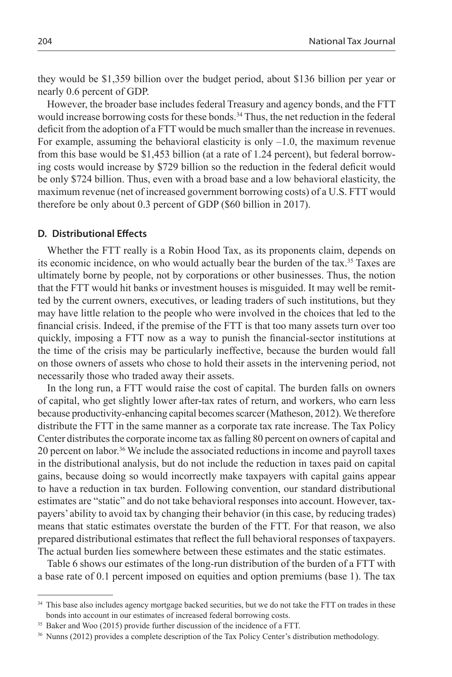they would be \$1,359 billion over the budget period, about \$136 billion per year or nearly 0.6 percent of GDP.

However, the broader base includes federal Treasury and agency bonds, and the FTT would increase borrowing costs for these bonds.<sup>34</sup> Thus, the net reduction in the federal deficit from the adoption of a FTT would be much smaller than the increase in revenues. For example, assuming the behavioral elasticity is only –1.0, the maximum revenue from this base would be \$1,453 billion (at a rate of 1.24 percent), but federal borrowing costs would increase by \$729 billion so the reduction in the federal deficit would be only \$724 billion. Thus, even with a broad base and a low behavioral elasticity, the maximum revenue (net of increased government borrowing costs) of a U.S. FTT would therefore be only about 0.3 percent of GDP (\$60 billion in 2017).

## **D. Distributional Effects**

Whether the FTT really is a Robin Hood Tax, as its proponents claim, depends on its economic incidence, on who would actually bear the burden of the tax.35 Taxes are ultimately borne by people, not by corporations or other businesses. Thus, the notion that the FTT would hit banks or investment houses is misguided. It may well be remitted by the current owners, executives, or leading traders of such institutions, but they may have little relation to the people who were involved in the choices that led to the financial crisis. Indeed, if the premise of the FTT is that too many assets turn over too quickly, imposing a FTT now as a way to punish the financial-sector institutions at the time of the crisis may be particularly ineffective, because the burden would fall on those owners of assets who chose to hold their assets in the intervening period, not necessarily those who traded away their assets.

In the long run, a FTT would raise the cost of capital. The burden falls on owners of capital, who get slightly lower after-tax rates of return, and workers, who earn less because productivity-enhancing capital becomes scarcer (Matheson, 2012). We therefore distribute the FTT in the same manner as a corporate tax rate increase. The Tax Policy Center distributes the corporate income tax as falling 80 percent on owners of capital and 20 percent on labor.36 We include the associated reductions in income and payroll taxes in the distributional analysis, but do not include the reduction in taxes paid on capital gains, because doing so would incorrectly make taxpayers with capital gains appear to have a reduction in tax burden. Following convention, our standard distributional estimates are "static" and do not take behavioral responses into account. However, taxpayers' ability to avoid tax by changing their behavior (in this case, by reducing trades) means that static estimates overstate the burden of the FTT. For that reason, we also prepared distributional estimates that reflect the full behavioral responses of taxpayers. The actual burden lies somewhere between these estimates and the static estimates.

Table 6 shows our estimates of the long-run distribution of the burden of a FTT with a base rate of 0.1 percent imposed on equities and option premiums (base 1). The tax

<sup>&</sup>lt;sup>34</sup> This base also includes agency mortgage backed securities, but we do not take the FTT on trades in these bonds into account in our estimates of increased federal borrowing costs.

<sup>35</sup> Baker and Woo (2015) provide further discussion of the incidence of a FTT.

<sup>36</sup> Nunns (2012) provides a complete description of the Tax Policy Center's distribution methodology.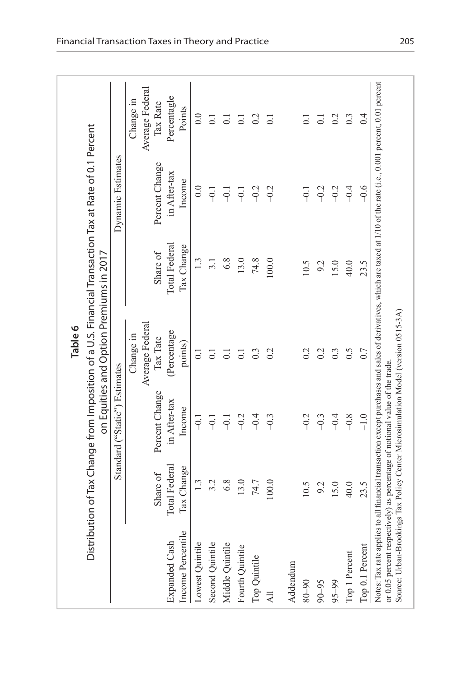| Distribution of Tax Change from Imposition of a U.S. Financial Transaction Tax at Rate of 0.1 Percent<br>Total Federal<br>Tax Change<br>Share of<br>on Equities and Option Premiums in 2017<br>$1.\overline{3}$<br>6.8<br>13.0<br>74.8<br>100.0<br>3.1<br>10.5<br>9.2<br>15.0<br>Average Federal<br>(Percentage<br>Change in<br>Tax Tate<br>points)<br>0.2<br>0.2<br>$0.\overline{3}$<br>0.2<br>$0.\overline{3}$<br>$\overline{0}$<br>$\overline{0}$ :<br>$\overline{C}$<br>$\overline{0}$ .<br>Standard ("Static") Estimates<br>Percent Change<br>in After-tax<br>Income<br>$-0.2$<br>$-0.3$<br>$-0.2$<br>$-0.4$<br>$-0.4$<br>$-0.3$<br>-<br>7<br>$-0.1$<br>$-0.1$<br>Total Federal<br>Tax Change<br>Share of<br>1.3<br>3.2<br>6.8<br>13.0<br>74.7<br>100.0<br>10.5<br>9.2<br>15.0<br>Income Percentile<br>Lowest Quintile<br>Expanded Cash<br>Second Quintile<br>Middle Quintile<br>Fourth Quintile<br>Top Quintile<br>Addendum<br>$95 - 99$<br>$06 - 08$<br>$90 - 95$ |                                    |                  |
|--------------------------------------------------------------------------------------------------------------------------------------------------------------------------------------------------------------------------------------------------------------------------------------------------------------------------------------------------------------------------------------------------------------------------------------------------------------------------------------------------------------------------------------------------------------------------------------------------------------------------------------------------------------------------------------------------------------------------------------------------------------------------------------------------------------------------------------------------------------------------------------------------------------------------------------------------------------------------|------------------------------------|------------------|
|                                                                                                                                                                                                                                                                                                                                                                                                                                                                                                                                                                                                                                                                                                                                                                                                                                                                                                                                                                          |                                    |                  |
|                                                                                                                                                                                                                                                                                                                                                                                                                                                                                                                                                                                                                                                                                                                                                                                                                                                                                                                                                                          | Dynamic Estimates                  |                  |
|                                                                                                                                                                                                                                                                                                                                                                                                                                                                                                                                                                                                                                                                                                                                                                                                                                                                                                                                                                          |                                    | Change in        |
|                                                                                                                                                                                                                                                                                                                                                                                                                                                                                                                                                                                                                                                                                                                                                                                                                                                                                                                                                                          | Average Federal                    |                  |
|                                                                                                                                                                                                                                                                                                                                                                                                                                                                                                                                                                                                                                                                                                                                                                                                                                                                                                                                                                          | Percent Change                     | Tax Rate         |
|                                                                                                                                                                                                                                                                                                                                                                                                                                                                                                                                                                                                                                                                                                                                                                                                                                                                                                                                                                          | in After-tax                       | Percentagle      |
|                                                                                                                                                                                                                                                                                                                                                                                                                                                                                                                                                                                                                                                                                                                                                                                                                                                                                                                                                                          | Points<br>Income                   |                  |
|                                                                                                                                                                                                                                                                                                                                                                                                                                                                                                                                                                                                                                                                                                                                                                                                                                                                                                                                                                          | 0.0                                | $\overline{0.0}$ |
|                                                                                                                                                                                                                                                                                                                                                                                                                                                                                                                                                                                                                                                                                                                                                                                                                                                                                                                                                                          | $\overline{0}$ .<br>$-0.1$         |                  |
|                                                                                                                                                                                                                                                                                                                                                                                                                                                                                                                                                                                                                                                                                                                                                                                                                                                                                                                                                                          | $\overline{0}$ .<br>$-0.1$         |                  |
|                                                                                                                                                                                                                                                                                                                                                                                                                                                                                                                                                                                                                                                                                                                                                                                                                                                                                                                                                                          | $\overline{0}$ .<br>$\overline{q}$ |                  |
|                                                                                                                                                                                                                                                                                                                                                                                                                                                                                                                                                                                                                                                                                                                                                                                                                                                                                                                                                                          | $-0.2$                             | 0.2              |
|                                                                                                                                                                                                                                                                                                                                                                                                                                                                                                                                                                                                                                                                                                                                                                                                                                                                                                                                                                          | $\overline{C}$<br>$-0.2$           |                  |
|                                                                                                                                                                                                                                                                                                                                                                                                                                                                                                                                                                                                                                                                                                                                                                                                                                                                                                                                                                          |                                    |                  |
|                                                                                                                                                                                                                                                                                                                                                                                                                                                                                                                                                                                                                                                                                                                                                                                                                                                                                                                                                                          | $\bar{\circ}$<br>Ę                 |                  |
|                                                                                                                                                                                                                                                                                                                                                                                                                                                                                                                                                                                                                                                                                                                                                                                                                                                                                                                                                                          | $\overline{\circ}$<br>$-0.2$       |                  |
|                                                                                                                                                                                                                                                                                                                                                                                                                                                                                                                                                                                                                                                                                                                                                                                                                                                                                                                                                                          | $-0.2$                             | 0.2              |
| 40.0<br>0.5<br>$-0.8$<br>40.0<br>Top 1 Percent                                                                                                                                                                                                                                                                                                                                                                                                                                                                                                                                                                                                                                                                                                                                                                                                                                                                                                                           | $0.\overline{3}$<br>$-0.4$         |                  |
| 23.5<br>0.7<br>$-1.0$<br>23.5<br>Top 0.1 Percent                                                                                                                                                                                                                                                                                                                                                                                                                                                                                                                                                                                                                                                                                                                                                                                                                                                                                                                         | $-0.6$                             | 0.4              |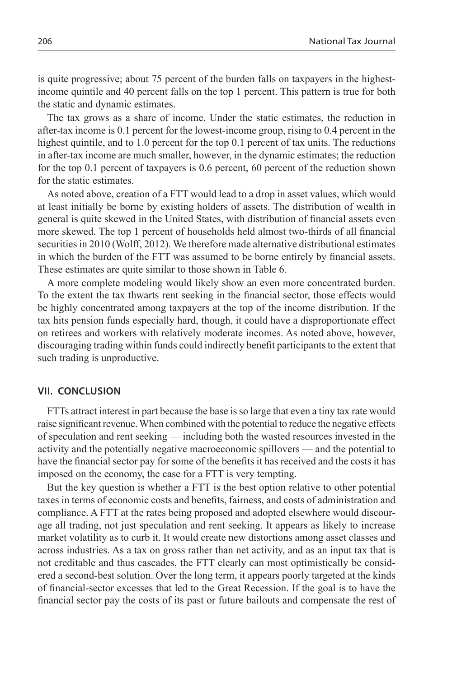is quite progressive; about 75 percent of the burden falls on taxpayers in the highestincome quintile and 40 percent falls on the top 1 percent. This pattern is true for both the static and dynamic estimates.

The tax grows as a share of income. Under the static estimates, the reduction in after-tax income is 0.1 percent for the lowest-income group, rising to 0.4 percent in the highest quintile, and to 1.0 percent for the top 0.1 percent of tax units. The reductions in after-tax income are much smaller, however, in the dynamic estimates; the reduction for the top 0.1 percent of taxpayers is 0.6 percent, 60 percent of the reduction shown for the static estimates.

As noted above, creation of a FTT would lead to a drop in asset values, which would at least initially be borne by existing holders of assets. The distribution of wealth in general is quite skewed in the United States, with distribution of financial assets even more skewed. The top 1 percent of households held almost two-thirds of all financial securities in 2010 (Wolff, 2012). We therefore made alternative distributional estimates in which the burden of the FTT was assumed to be borne entirely by financial assets. These estimates are quite similar to those shown in Table 6.

A more complete modeling would likely show an even more concentrated burden. To the extent the tax thwarts rent seeking in the financial sector, those effects would be highly concentrated among taxpayers at the top of the income distribution. If the tax hits pension funds especially hard, though, it could have a disproportionate effect on retirees and workers with relatively moderate incomes. As noted above, however, discouraging trading within funds could indirectly benefit participants to the extent that such trading is unproductive.

## **VII. CONCLUSION**

FTTs attract interest in part because the base is so large that even a tiny tax rate would raise significant revenue. When combined with the potential to reduce the negative effects of speculation and rent seeking — including both the wasted resources invested in the activity and the potentially negative macroeconomic spillovers — and the potential to have the financial sector pay for some of the benefits it has received and the costs it has imposed on the economy, the case for a FTT is very tempting.

But the key question is whether a FTT is the best option relative to other potential taxes in terms of economic costs and benefits, fairness, and costs of administration and compliance. A FTT at the rates being proposed and adopted elsewhere would discourage all trading, not just speculation and rent seeking. It appears as likely to increase market volatility as to curb it. It would create new distortions among asset classes and across industries. As a tax on gross rather than net activity, and as an input tax that is not creditable and thus cascades, the FTT clearly can most optimistically be considered a second-best solution. Over the long term, it appears poorly targeted at the kinds of financial-sector excesses that led to the Great Recession. If the goal is to have the financial sector pay the costs of its past or future bailouts and compensate the rest of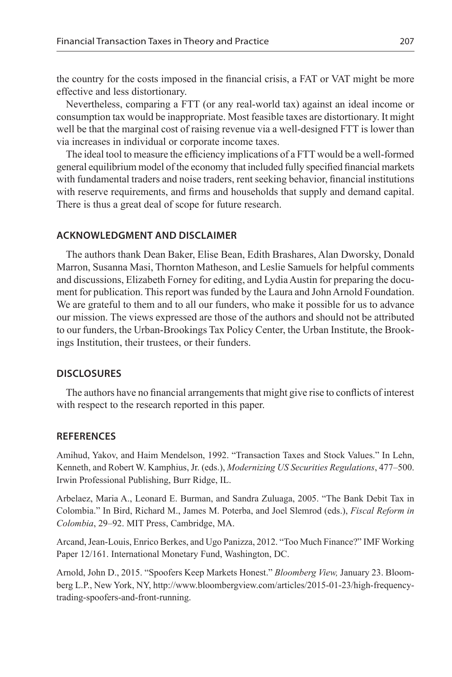the country for the costs imposed in the financial crisis, a FAT or VAT might be more effective and less distortionary.

Nevertheless, comparing a FTT (or any real-world tax) against an ideal income or consumption tax would be inappropriate. Most feasible taxes are distortionary. It might well be that the marginal cost of raising revenue via a well-designed FTT is lower than via increases in individual or corporate income taxes.

The ideal tool to measure the efficiency implications of a FTT would be a well-formed general equilibrium model of the economy that included fully specified financial markets with fundamental traders and noise traders, rent seeking behavior, financial institutions with reserve requirements, and firms and households that supply and demand capital. There is thus a great deal of scope for future research.

#### **ACKNOWLEDGMENT AND DISCLAIMER**

The authors thank Dean Baker, Elise Bean, Edith Brashares, Alan Dworsky, Donald Marron, Susanna Masi, Thornton Matheson, and Leslie Samuels for helpful comments and discussions, Elizabeth Forney for editing, and Lydia Austin for preparing the document for publication. This report was funded by the Laura and John Arnold Foundation. We are grateful to them and to all our funders, who make it possible for us to advance our mission. The views expressed are those of the authors and should not be attributed to our funders, the Urban-Brookings Tax Policy Center, the Urban Institute, the Brookings Institution, their trustees, or their funders.

## **DISCLOSURES**

The authors have no financial arrangements that might give rise to conflicts of interest with respect to the research reported in this paper.

## **References**

Amihud, Yakov, and Haim Mendelson, 1992. "Transaction Taxes and Stock Values." In Lehn, Kenneth, and Robert W. Kamphius, Jr. (eds.), *Modernizing US Securities Regulations*, 477–500. Irwin Professional Publishing, Burr Ridge, IL.

Arbelaez, Maria A., Leonard E. Burman, and Sandra Zuluaga, 2005. "The Bank Debit Tax in Colombia." In Bird, Richard M., James M. Poterba, and Joel Slemrod (eds.), *Fiscal Reform in Colombia*, 29–92. MIT Press, Cambridge, MA.

Arcand, Jean-Louis, Enrico Berkes, and Ugo Panizza, 2012. "Too Much Finance?" IMF Working Paper 12/161. International Monetary Fund, Washington, DC.

Arnold, John D., 2015. "Spoofers Keep Markets Honest." *Bloomberg View,* January 23. Bloomberg L.P., New York, NY, http://www.bloombergview.com/articles/2015-01-23/high-frequencytrading-spoofers-and-front-running.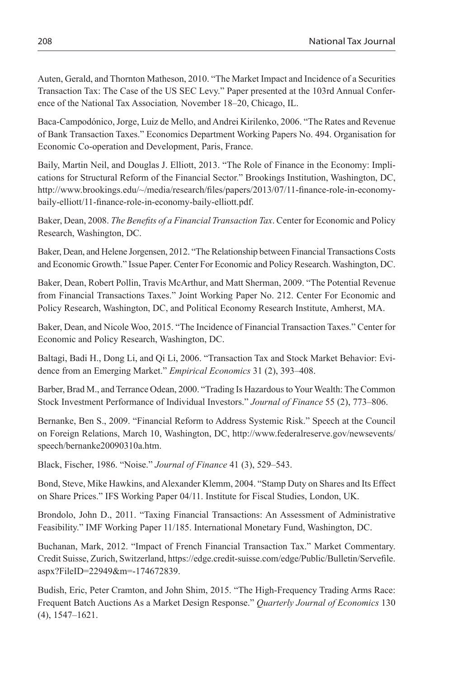Auten, Gerald, and Thornton Matheson, 2010. "The Market Impact and Incidence of a Securities Transaction Tax: The Case of the US SEC Levy." Paper presented at the 103rd Annual Conference of the National Tax Association*,* November 18–20, Chicago, IL.

Baca-Campodónico, Jorge, Luiz de Mello, and Andrei Kirilenko, 2006. "The Rates and Revenue of Bank Transaction Taxes." Economics Department Working Papers No. 494. Organisation for Economic Co-operation and Development, Paris, France.

Baily, Martin Neil, and Douglas J. Elliott, 2013. "The Role of Finance in the Economy: Implications for Structural Reform of the Financial Sector." Brookings Institution, Washington, DC, http://www.brookings.edu/~/media/research/files/papers/2013/07/11-finance-role-in-economybaily-elliott/11-finance-role-in-economy-baily-elliott.pdf.

Baker, Dean, 2008. *The Benefits of a Financial Transaction Tax*. Center for Economic and Policy Research, Washington, DC.

Baker, Dean, and Helene Jorgensen, 2012. "The Relationship between Financial Transactions Costs and Economic Growth." Issue Paper. Center For Economic and Policy Research. Washington, DC.

Baker, Dean, Robert Pollin, Travis McArthur, and Matt Sherman, 2009. "The Potential Revenue from Financial Transactions Taxes." Joint Working Paper No. 212. Center For Economic and Policy Research, Washington, DC, and Political Economy Research Institute, Amherst, MA.

Baker, Dean, and Nicole Woo, 2015. "The Incidence of Financial Transaction Taxes." Center for Economic and Policy Research, Washington, DC.

Baltagi, Badi H., Dong Li, and Qi Li, 2006. "Transaction Tax and Stock Market Behavior: Evidence from an Emerging Market." *Empirical Economics* 31 (2), 393–408.

Barber, Brad M., and Terrance Odean, 2000. "Trading Is Hazardous to Your Wealth: The Common Stock Investment Performance of Individual Investors." *Journal of Finance* 55 (2), 773–806.

Bernanke, Ben S., 2009. "Financial Reform to Address Systemic Risk." Speech at the Council on Foreign Relations, March 10, Washington, DC, http://www.federalreserve.gov/newsevents/ speech/bernanke20090310a.htm.

Black, Fischer, 1986. "Noise." *Journal of Finance* 41 (3), 529–543.

Bond, Steve, Mike Hawkins, and Alexander Klemm, 2004. "Stamp Duty on Shares and Its Effect on Share Prices." IFS Working Paper 04/11. Institute for Fiscal Studies, London, UK.

Brondolo, John D., 2011. "Taxing Financial Transactions: An Assessment of Administrative Feasibility." IMF Working Paper 11/185. International Monetary Fund, Washington, DC.

Buchanan, Mark, 2012. "Impact of French Financial Transaction Tax." Market Commentary. Credit Suisse, Zurich, Switzerland, https://edge.credit-suisse.com/edge/Public/Bulletin/Servefile. aspx?FileID=22949&m=-174672839.

Budish, Eric, Peter Cramton, and John Shim, 2015. "The High-Frequency Trading Arms Race: Frequent Batch Auctions As a Market Design Response." *Quarterly Journal of Economics* 130 (4), 1547–1621.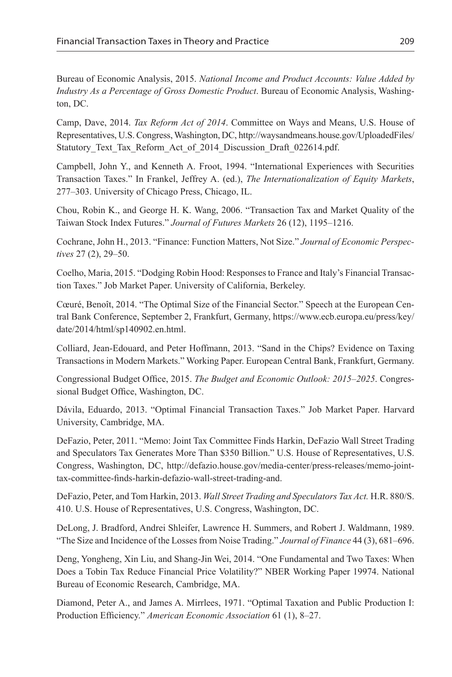Bureau of Economic Analysis, 2015. *National Income and Product Accounts: Value Added by Industry As a Percentage of Gross Domestic Product*. Bureau of Economic Analysis, Washington, DC.

Camp, Dave, 2014. *Tax Reform Act of 2014*. Committee on Ways and Means, U.S. House of Representatives, U.S. Congress, Washington, DC, http://waysandmeans.house.gov/UploadedFiles/ Statutory Text Tax Reform Act of 2014 Discussion Draft 022614.pdf.

Campbell, John Y., and Kenneth A. Froot, 1994. "International Experiences with Securities Transaction Taxes." In Frankel, Jeffrey A. (ed.), *The Internationalization of Equity Markets*, 277–303. University of Chicago Press, Chicago, IL.

Chou, Robin K., and George H. K. Wang, 2006. "Transaction Tax and Market Quality of the Taiwan Stock Index Futures." *Journal of Futures Markets* 26 (12), 1195–1216.

Cochrane, John H., 2013. "Finance: Function Matters, Not Size." *Journal of Economic Perspectives* 27 (2), 29–50.

Coelho, Maria, 2015. "Dodging Robin Hood: Responses to France and Italy's Financial Transaction Taxes." Job Market Paper. University of California, Berkeley.

Cœuré, Benoît, 2014. "The Optimal Size of the Financial Sector." Speech at the European Central Bank Conference, September 2, Frankfurt, Germany, https://www.ecb.europa.eu/press/key/ date/2014/html/sp140902.en.html.

Colliard, Jean-Edouard, and Peter Hoffmann, 2013. "Sand in the Chips? Evidence on Taxing Transactions in Modern Markets." Working Paper. European Central Bank, Frankfurt, Germany.

Congressional Budget Office, 2015. *The Budget and Economic Outlook: 2015–2025*. Congressional Budget Office, Washington, DC.

Dávila, Eduardo, 2013. "Optimal Financial Transaction Taxes." Job Market Paper. Harvard University, Cambridge, MA.

DeFazio, Peter, 2011. "Memo: Joint Tax Committee Finds Harkin, DeFazio Wall Street Trading and Speculators Tax Generates More Than \$350 Billion." U.S. House of Representatives, U.S. Congress, Washington, DC, http://defazio.house.gov/media-center/press-releases/memo-jointtax-committee-finds-harkin-defazio-wall-street-trading-and.

DeFazio, Peter, and Tom Harkin, 2013. *Wall Street Trading and Speculators Tax Act.* H.R. 880/S. 410. U.S. House of Representatives, U.S. Congress, Washington, DC.

DeLong, J. Bradford, Andrei Shleifer, Lawrence H. Summers, and Robert J. Waldmann, 1989. "The Size and Incidence of the Losses from Noise Trading." *Journal of Finance* 44 (3), 681–696.

Deng, Yongheng, Xin Liu, and Shang-Jin Wei, 2014. "One Fundamental and Two Taxes: When Does a Tobin Tax Reduce Financial Price Volatility?" NBER Working Paper 19974. National Bureau of Economic Research, Cambridge, MA.

Diamond, Peter A., and James A. Mirrlees, 1971. "Optimal Taxation and Public Production I: Production Efficiency." *American Economic Association* 61 (1), 8–27.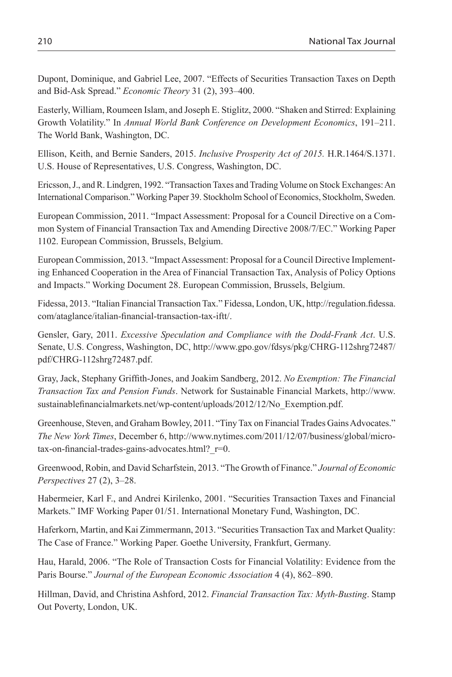Dupont, Dominique, and Gabriel Lee, 2007. "Effects of Securities Transaction Taxes on Depth and Bid-Ask Spread." *Economic Theory* 31 (2), 393–400.

Easterly, William, Roumeen Islam, and Joseph E. Stiglitz, 2000. "Shaken and Stirred: Explaining Growth Volatility." In *Annual World Bank Conference on Development Economics*, 191–211. The World Bank, Washington, DC.

Ellison, Keith, and Bernie Sanders, 2015. *Inclusive Prosperity Act of 2015.* H.R.1464/S.1371. U.S. House of Representatives, U.S. Congress, Washington, DC.

Ericsson, J., and R. Lindgren, 1992. "Transaction Taxes and Trading Volume on Stock Exchanges: An International Comparison." Working Paper 39. Stockholm School of Economics, Stockholm, Sweden.

European Commission, 2011. "Impact Assessment: Proposal for a Council Directive on a Common System of Financial Transaction Tax and Amending Directive 2008/7/EC." Working Paper 1102. European Commission, Brussels, Belgium.

European Commission, 2013. "Impact Assessment: Proposal for a Council Directive Implementing Enhanced Cooperation in the Area of Financial Transaction Tax, Analysis of Policy Options and Impacts." Working Document 28. European Commission, Brussels, Belgium.

Fidessa, 2013. "Italian Financial Transaction Tax." Fidessa, London, UK, http://regulation.fidessa. com/ataglance/italian-financial-transaction-tax-iftt/.

Gensler, Gary, 2011. *Excessive Speculation and Compliance with the Dodd-Frank Act*. U.S. Senate, U.S. Congress, Washington, DC, http://www.gpo.gov/fdsys/pkg/CHRG-112shrg72487/ pdf/CHRG-112shrg72487.pdf.

Gray, Jack, Stephany Griffith-Jones, and Joakim Sandberg, 2012. *No Exemption: The Financial Transaction Tax and Pension Funds*. Network for Sustainable Financial Markets, http://www. sustainablefinancialmarkets.net/wp-content/uploads/2012/12/No\_Exemption.pdf.

Greenhouse, Steven, and Graham Bowley, 2011. "Tiny Tax on Financial Trades Gains Advocates." *The New York Times*, December 6, http://www.nytimes.com/2011/12/07/business/global/microtax-on-financial-trades-gains-advocates.html? r=0.

Greenwood, Robin, and David Scharfstein, 2013. "The Growth of Finance." *Journal of Economic Perspectives* 27 (2), 3–28.

Habermeier, Karl F., and Andrei Kirilenko, 2001. "Securities Transaction Taxes and Financial Markets." IMF Working Paper 01/51. International Monetary Fund, Washington, DC.

Haferkorn, Martin, and Kai Zimmermann, 2013. "Securities Transaction Tax and Market Quality: The Case of France." Working Paper. Goethe University, Frankfurt, Germany.

Hau, Harald, 2006. "The Role of Transaction Costs for Financial Volatility: Evidence from the Paris Bourse." *Journal of the European Economic Association* 4 (4), 862–890.

Hillman, David, and Christina Ashford, 2012. *Financial Transaction Tax: Myth-Busting*. Stamp Out Poverty, London, UK.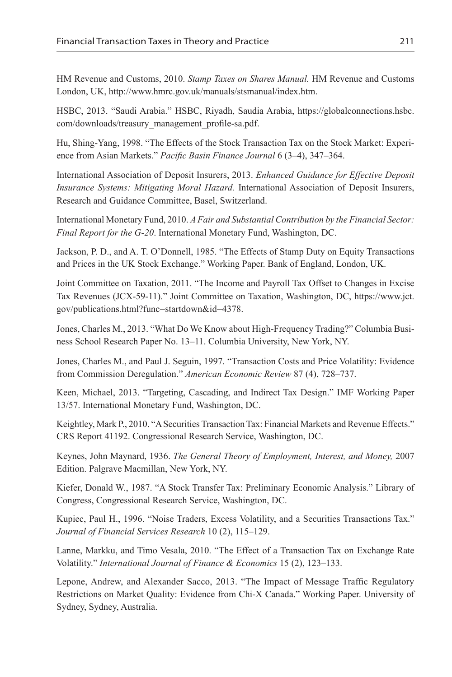HM Revenue and Customs, 2010. *Stamp Taxes on Shares Manual.* HM Revenue and Customs London, UK, http://www.hmrc.gov.uk/manuals/stsmanual/index.htm.

HSBC, 2013. "Saudi Arabia." HSBC, Riyadh, Saudia Arabia, https://globalconnections.hsbc. com/downloads/treasury\_management\_profile-sa.pdf.

Hu, Shing-Yang, 1998. "The Effects of the Stock Transaction Tax on the Stock Market: Experience from Asian Markets." *Pacific Basin Finance Journal* 6 (3–4), 347–364.

International Association of Deposit Insurers, 2013. *Enhanced Guidance for Effective Deposit Insurance Systems: Mitigating Moral Hazard.* International Association of Deposit Insurers, Research and Guidance Committee, Basel, Switzerland.

International Monetary Fund, 2010. *A Fair and Substantial Contribution by the Financial Sector: Final Report for the G-20*. International Monetary Fund, Washington, DC.

Jackson, P. D., and A. T. O'Donnell, 1985. "The Effects of Stamp Duty on Equity Transactions and Prices in the UK Stock Exchange." Working Paper. Bank of England, London, UK.

Joint Committee on Taxation, 2011. "The Income and Payroll Tax Offset to Changes in Excise Tax Revenues (JCX-59-11)." Joint Committee on Taxation, Washington, DC, https://www.jct. gov/publications.html?func=startdown&id=4378.

Jones, Charles M., 2013. "What Do We Know about High-Frequency Trading?" Columbia Business School Research Paper No. 13–11. Columbia University, New York, NY.

Jones, Charles M., and Paul J. Seguin, 1997. "Transaction Costs and Price Volatility: Evidence from Commission Deregulation." *American Economic Review* 87 (4), 728–737.

Keen, Michael, 2013. "Targeting, Cascading, and Indirect Tax Design." IMF Working Paper 13/57. International Monetary Fund, Washington, DC.

Keightley, Mark P., 2010. "A Securities Transaction Tax: Financial Markets and Revenue Effects." CRS Report 41192. Congressional Research Service, Washington, DC.

Keynes, John Maynard, 1936. *The General Theory of Employment, Interest, and Money,* 2007 Edition. Palgrave Macmillan, New York, NY.

Kiefer, Donald W., 1987. "A Stock Transfer Tax: Preliminary Economic Analysis." Library of Congress, Congressional Research Service, Washington, DC.

Kupiec, Paul H., 1996. "Noise Traders, Excess Volatility, and a Securities Transactions Tax." *Journal of Financial Services Research* 10 (2), 115–129.

Lanne, Markku, and Timo Vesala, 2010. "The Effect of a Transaction Tax on Exchange Rate Volatility." *International Journal of Finance & Economics* 15 (2), 123–133.

Lepone, Andrew, and Alexander Sacco, 2013. "The Impact of Message Traffic Regulatory Restrictions on Market Quality: Evidence from Chi-X Canada." Working Paper. University of Sydney, Sydney, Australia.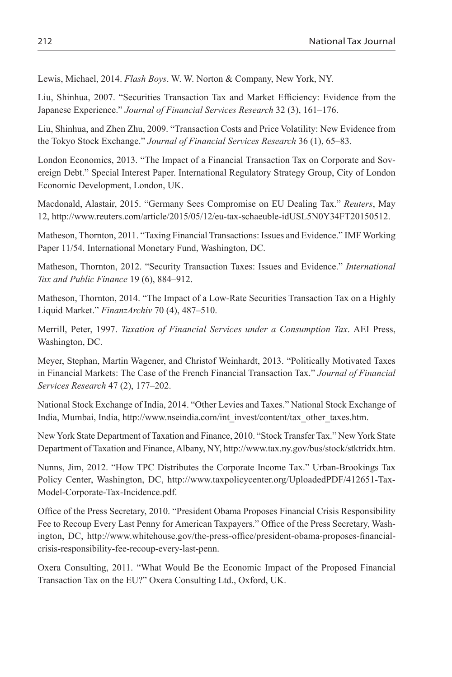Lewis, Michael, 2014. *Flash Boys*. W. W. Norton & Company, New York, NY.

Liu, Shinhua, 2007. "Securities Transaction Tax and Market Efficiency: Evidence from the Japanese Experience." *Journal of Financial Services Research* 32 (3), 161–176.

Liu, Shinhua, and Zhen Zhu, 2009. "Transaction Costs and Price Volatility: New Evidence from the Tokyo Stock Exchange." *Journal of Financial Services Research* 36 (1), 65–83.

London Economics, 2013. "The Impact of a Financial Transaction Tax on Corporate and Sovereign Debt." Special Interest Paper. International Regulatory Strategy Group, City of London Economic Development, London, UK.

Macdonald, Alastair, 2015. "Germany Sees Compromise on EU Dealing Tax." *Reuters*, May 12, http://www.reuters.com/article/2015/05/12/eu-tax-schaeuble-idUSL5N0Y34FT20150512.

Matheson, Thornton, 2011. "Taxing Financial Transactions: Issues and Evidence." IMF Working Paper 11/54. International Monetary Fund, Washington, DC.

Matheson, Thornton, 2012. "Security Transaction Taxes: Issues and Evidence." *International Tax and Public Finance* 19 (6), 884–912.

Matheson, Thornton, 2014. "The Impact of a Low-Rate Securities Transaction Tax on a Highly Liquid Market." *FinanzArchiv* 70 (4), 487–510.

Merrill, Peter, 1997. *Taxation of Financial Services under a Consumption Tax*. AEI Press, Washington, DC.

Meyer, Stephan, Martin Wagener, and Christof Weinhardt, 2013. "Politically Motivated Taxes in Financial Markets: The Case of the French Financial Transaction Tax." *Journal of Financial Services Research* 47 (2), 177–202.

National Stock Exchange of India, 2014. "Other Levies and Taxes." National Stock Exchange of India, Mumbai, India, http://www.nseindia.com/int\_invest/content/tax\_other\_taxes.htm.

New York State Department of Taxation and Finance, 2010. "Stock Transfer Tax." New York State Department of Taxation and Finance, Albany, NY, http://www.tax.ny.gov/bus/stock/stktridx.htm.

Nunns, Jim, 2012. "How TPC Distributes the Corporate Income Tax." Urban-Brookings Tax Policy Center, Washington, DC, http://www.taxpolicycenter.org/UploadedPDF/412651-Tax-Model-Corporate-Tax-Incidence.pdf.

Office of the Press Secretary, 2010. "President Obama Proposes Financial Crisis Responsibility Fee to Recoup Every Last Penny for American Taxpayers." Office of the Press Secretary, Washington, DC, http://www.whitehouse.gov/the-press-office/president-obama-proposes-financialcrisis-responsibility-fee-recoup-every-last-penn.

Oxera Consulting, 2011. "What Would Be the Economic Impact of the Proposed Financial Transaction Tax on the EU?" Oxera Consulting Ltd., Oxford, UK.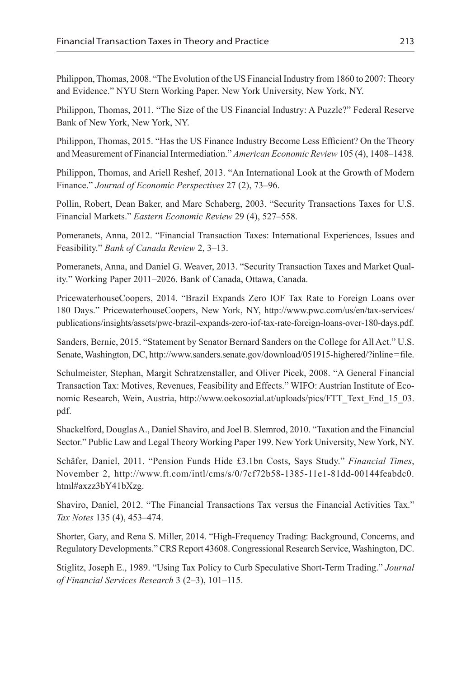Philippon, Thomas, 2008. "The Evolution of the US Financial Industry from 1860 to 2007: Theory and Evidence." NYU Stern Working Paper. New York University, New York, NY.

Philippon, Thomas, 2011. "The Size of the US Financial Industry: A Puzzle?" Federal Reserve Bank of New York, New York, NY.

Philippon, Thomas, 2015. "Has the US Finance Industry Become Less Efficient? On the Theory and Measurement of Financial Intermediation." *American Economic Review* 105 (4), 1408–1438*.*

Philippon, Thomas, and Ariell Reshef, 2013. "An International Look at the Growth of Modern Finance." *Journal of Economic Perspectives* 27 (2), 73–96.

Pollin, Robert, Dean Baker, and Marc Schaberg, 2003. "Security Transactions Taxes for U.S. Financial Markets." *Eastern Economic Review* 29 (4), 527–558.

Pomeranets, Anna, 2012. "Financial Transaction Taxes: International Experiences, Issues and Feasibility." *Bank of Canada Review* 2, 3–13.

Pomeranets, Anna, and Daniel G. Weaver, 2013. "Security Transaction Taxes and Market Quality." Working Paper 2011–2026. Bank of Canada, Ottawa, Canada.

PricewaterhouseCoopers, 2014. "Brazil Expands Zero IOF Tax Rate to Foreign Loans over 180 Days." PricewaterhouseCoopers, New York, NY, http://www.pwc.com/us/en/tax-services/ publications/insights/assets/pwc-brazil-expands-zero-iof-tax-rate-foreign-loans-over-180-days.pdf.

Sanders, Bernie, 2015. "Statement by Senator Bernard Sanders on the College for All Act." U.S. Senate, Washington, DC, http://www.sanders.senate.gov/download/051915-highered/?inline=file.

Schulmeister, Stephan, Margit Schratzenstaller, and Oliver Picek, 2008. "A General Financial Transaction Tax: Motives, Revenues, Feasibility and Effects." WIFO: Austrian Institute of Economic Research, Wein, Austria, http://www.oekosozial.at/uploads/pics/FTT\_Text\_End\_15\_03. pdf.

Shackelford, Douglas A., Daniel Shaviro, and Joel B. Slemrod, 2010. "Taxation and the Financial Sector." Public Law and Legal Theory Working Paper 199. New York University, New York, NY.

Schäfer, Daniel, 2011. "Pension Funds Hide £3.1bn Costs, Says Study." *Financial Times*, November 2, http://www.ft.com/intl/cms/s/0/7cf72b58-1385-11e1-81dd-00144feabdc0. html#axzz3bY41bXzg.

Shaviro, Daniel, 2012. "The Financial Transactions Tax versus the Financial Activities Tax." *Tax Notes* 135 (4), 453–474.

Shorter, Gary, and Rena S. Miller, 2014. "High-Frequency Trading: Background, Concerns, and Regulatory Developments." CRS Report 43608. Congressional Research Service, Washington, DC.

Stiglitz, Joseph E., 1989. "Using Tax Policy to Curb Speculative Short-Term Trading." *Journal of Financial Services Research* 3 (2–3), 101–115.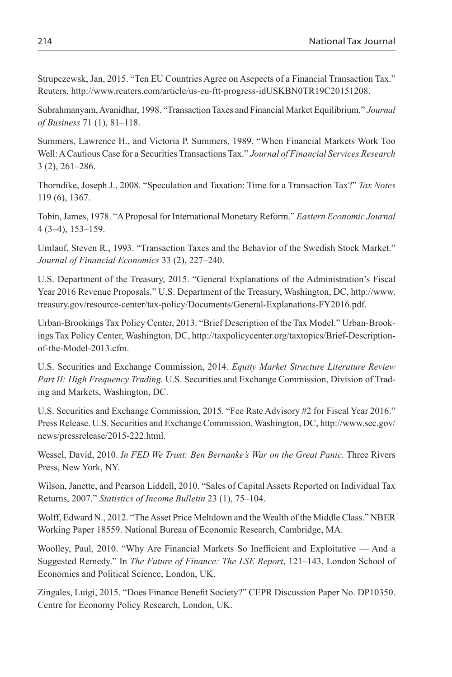Strupczewsk, Jan, 2015. "Ten EU Countries Agree on Asepects of a Financial Transaction Tax." Reuters, http://www.reuters.com/article/us-eu-ftt-progress-idUSKBN0TR19C20151208.

Subrahmanyam, Avanidhar, 1998. "Transaction Taxes and Financial Market Equilibrium." *Journal of Business* 71 (1), 81–118.

Summers, Lawrence H., and Victoria P. Summers, 1989. "When Financial Markets Work Too Well: A Cautious Case for a Securities Transactions Tax." *Journal of Financial Services Research* 3 (2), 261–286.

Thorndike, Joseph J., 2008. "Speculation and Taxation: Time for a Transaction Tax?" *Tax Notes* 119 (6), 1367.

Tobin, James, 1978. "A Proposal for International Monetary Reform." *Eastern Economic Journal* 4 (3–4), 153–159.

Umlauf, Steven R., 1993. "Transaction Taxes and the Behavior of the Swedish Stock Market." *Journal of Financial Economics* 33 (2), 227–240.

U.S. Department of the Treasury, 2015. "General Explanations of the Administration's Fiscal Year 2016 Revenue Proposals." U.S. Department of the Treasury, Washington, DC, http://www. treasury.gov/resource-center/tax-policy/Documents/General-Explanations-FY2016.pdf.

Urban-Brookings Tax Policy Center, 2013. "Brief Description of the Tax Model." Urban-Brookings Tax Policy Center, Washington, DC, http://taxpolicycenter.org/taxtopics/Brief-Descriptionof-the-Model-2013.cfm.

U.S. Securities and Exchange Commission, 2014. *Equity Market Structure Literature Review Part II: High Frequency Trading.* U.S. Securities and Exchange Commission, Division of Trading and Markets, Washington, DC.

U.S. Securities and Exchange Commission, 2015. "Fee Rate Advisory #2 for Fiscal Year 2016." Press Release. U.S. Securities and Exchange Commission, Washington, DC, http://www.sec.gov/ news/pressrelease/2015-222.html.

Wessel, David, 2010. *In FED We Trust: Ben Bernanke's War on the Great Panic*. Three Rivers Press, New York, NY.

Wilson, Janette, and Pearson Liddell, 2010. "Sales of Capital Assets Reported on Individual Tax Returns, 2007." *Statistics of Income Bulletin* 23 (1), 75–104.

Wolff, Edward N., 2012. "The Asset Price Meltdown and the Wealth of the Middle Class." NBER Working Paper 18559. National Bureau of Economic Research, Cambridge, MA.

Woolley, Paul, 2010. "Why Are Financial Markets So Inefficient and Exploitative — And a Suggested Remedy." In *The Future of Finance: The LSE Report*, 121–143. London School of Economics and Political Science, London, UK.

Zingales, Luigi, 2015. "Does Finance Benefit Society?" CEPR Discussion Paper No. DP10350. Centre for Economy Policy Research, London, UK.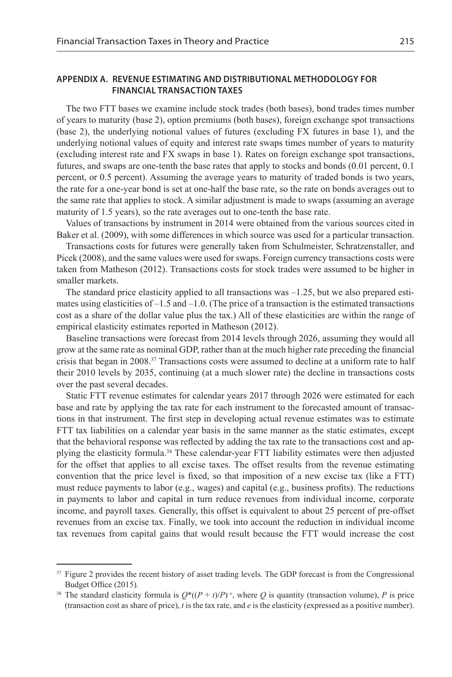## **Appendix A. Revenue Estimating and Distributional Methodology for Financial Transaction Taxes**

The two FTT bases we examine include stock trades (both bases), bond trades times number of years to maturity (base 2), option premiums (both bases), foreign exchange spot transactions (base 2), the underlying notional values of futures (excluding FX futures in base 1), and the underlying notional values of equity and interest rate swaps times number of years to maturity (excluding interest rate and FX swaps in base 1). Rates on foreign exchange spot transactions, futures, and swaps are one-tenth the base rates that apply to stocks and bonds (0.01 percent, 0.1 percent, or 0.5 percent). Assuming the average years to maturity of traded bonds is two years, the rate for a one-year bond is set at one-half the base rate, so the rate on bonds averages out to the same rate that applies to stock. A similar adjustment is made to swaps (assuming an average maturity of 1.5 years), so the rate averages out to one-tenth the base rate.

Values of transactions by instrument in 2014 were obtained from the various sources cited in Baker et al. (2009), with some differences in which source was used for a particular transaction.

Transactions costs for futures were generally taken from Schulmeister, Schratzenstaller, and Picek (2008), and the same values were used for swaps. Foreign currency transactions costs were taken from Matheson (2012). Transactions costs for stock trades were assumed to be higher in smaller markets.

The standard price elasticity applied to all transactions was  $-1.25$ , but we also prepared estimates using elasticities of  $-1.5$  and  $-1.0$ . (The price of a transaction is the estimated transactions cost as a share of the dollar value plus the tax.) All of these elasticities are within the range of empirical elasticity estimates reported in Matheson (2012).

Baseline transactions were forecast from 2014 levels through 2026, assuming they would all grow at the same rate as nominal GDP, rather than at the much higher rate preceding the financial crisis that began in 2008.<sup>37</sup> Transactions costs were assumed to decline at a uniform rate to half their 2010 levels by 2035, continuing (at a much slower rate) the decline in transactions costs over the past several decades.

Static FTT revenue estimates for calendar years 2017 through 2026 were estimated for each base and rate by applying the tax rate for each instrument to the forecasted amount of transactions in that instrument. The first step in developing actual revenue estimates was to estimate FTT tax liabilities on a calendar year basis in the same manner as the static estimates, except that the behavioral response was reflected by adding the tax rate to the transactions cost and applying the elasticity formula.38 These calendar-year FTT liability estimates were then adjusted for the offset that applies to all excise taxes. The offset results from the revenue estimating convention that the price level is fixed, so that imposition of a new excise tax (like a FTT) must reduce payments to labor (e.g., wages) and capital (e.g., business profits). The reductions in payments to labor and capital in turn reduce revenues from individual income, corporate income, and payroll taxes. Generally, this offset is equivalent to about 25 percent of pre-offset revenues from an excise tax. Finally, we took into account the reduction in individual income tax revenues from capital gains that would result because the FTT would increase the cost

<sup>&</sup>lt;sup>37</sup> Figure 2 provides the recent history of asset trading levels. The GDP forecast is from the Congressional Budget Office (2015).

<sup>&</sup>lt;sup>38</sup> The standard elasticity formula is  $Q^*(P + t)/P)^{-e}$ , where Q is quantity (transaction volume), P is price (transaction cost as share of price), *t* is the tax rate, and *e* is the elasticity (expressed as a positive number).